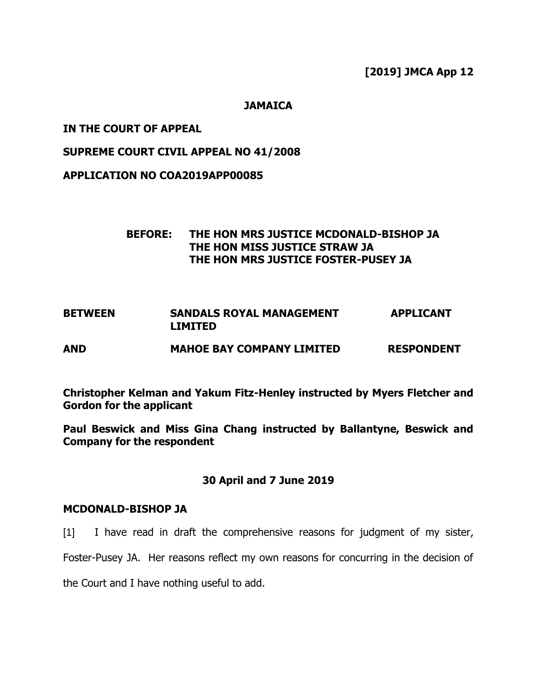**[2019] JMCA App 12**

## **JAMAICA**

## **IN THE COURT OF APPEAL**

## **SUPREME COURT CIVIL APPEAL NO 41/2008**

**APPLICATION NO COA2019APP00085**

# **BEFORE: THE HON MRS JUSTICE MCDONALD-BISHOP JA THE HON MISS JUSTICE STRAW JA THE HON MRS JUSTICE FOSTER-PUSEY JA**

| <b>BETWEEN</b> | <b>SANDALS ROYAL MANAGEMENT</b><br><b>LIMITED</b> | <b>APPLICANT</b>  |
|----------------|---------------------------------------------------|-------------------|
| <b>AND</b>     | <b>MAHOE BAY COMPANY LIMITED</b>                  | <b>RESPONDENT</b> |

**Christopher Kelman and Yakum Fitz-Henley instructed by Myers Fletcher and Gordon for the applicant**

**Paul Beswick and Miss Gina Chang instructed by Ballantyne, Beswick and Company for the respondent**

## **30 April and 7 June 2019**

#### **MCDONALD-BISHOP JA**

[1] I have read in draft the comprehensive reasons for judgment of my sister,

Foster-Pusey JA. Her reasons reflect my own reasons for concurring in the decision of

the Court and I have nothing useful to add.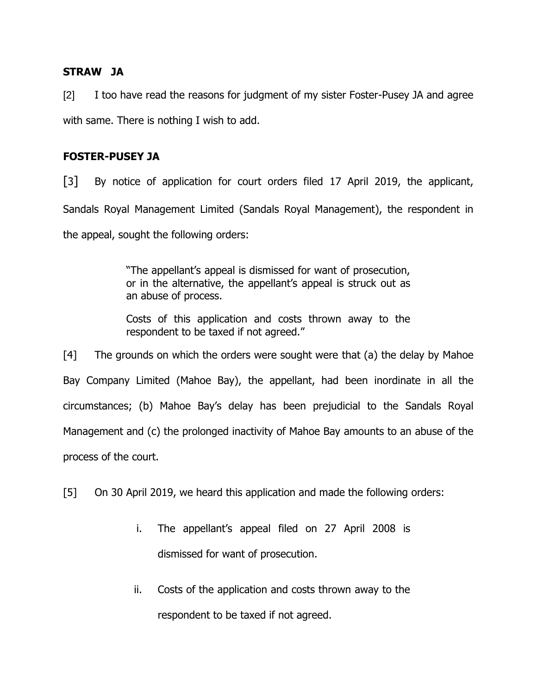## **STRAW JA**

[2] I too have read the reasons for judgment of my sister Foster-Pusey JA and agree with same. There is nothing I wish to add.

## **FOSTER-PUSEY JA**

[3] By notice of application for court orders filed 17 April 2019, the applicant, Sandals Royal Management Limited (Sandals Royal Management), the respondent in the appeal, sought the following orders:

> "The appellant's appeal is dismissed for want of prosecution, or in the alternative, the appellant's appeal is struck out as an abuse of process.

> Costs of this application and costs thrown away to the respondent to be taxed if not agreed."

[4] The grounds on which the orders were sought were that (a) the delay by Mahoe Bay Company Limited (Mahoe Bay), the appellant, had been inordinate in all the circumstances; (b) Mahoe Bay's delay has been prejudicial to the Sandals Royal Management and (c) the prolonged inactivity of Mahoe Bay amounts to an abuse of the process of the court.

[5] On 30 April 2019, we heard this application and made the following orders:

- i. The appellant's appeal filed on 27 April 2008 is dismissed for want of prosecution.
- ii. Costs of the application and costs thrown away to the respondent to be taxed if not agreed.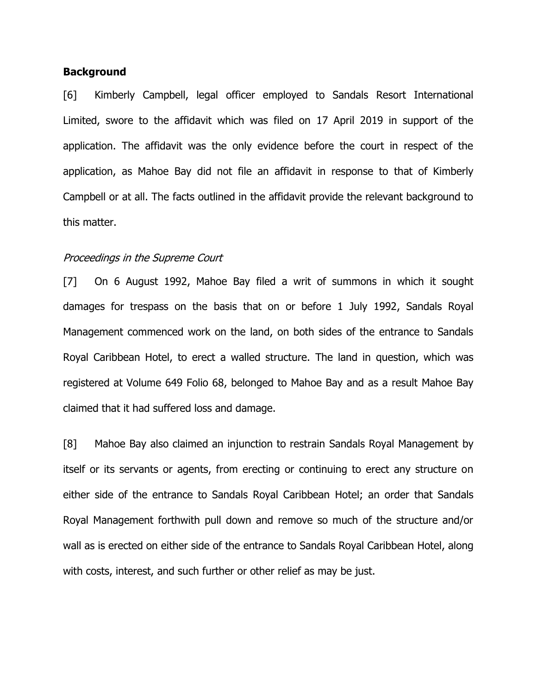## **Background**

[6] Kimberly Campbell, legal officer employed to Sandals Resort International Limited, swore to the affidavit which was filed on 17 April 2019 in support of the application. The affidavit was the only evidence before the court in respect of the application, as Mahoe Bay did not file an affidavit in response to that of Kimberly Campbell or at all. The facts outlined in the affidavit provide the relevant background to this matter.

#### Proceedings in the Supreme Court

[7] On 6 August 1992, Mahoe Bay filed a writ of summons in which it sought damages for trespass on the basis that on or before 1 July 1992, Sandals Royal Management commenced work on the land, on both sides of the entrance to Sandals Royal Caribbean Hotel, to erect a walled structure. The land in question, which was registered at Volume 649 Folio 68, belonged to Mahoe Bay and as a result Mahoe Bay claimed that it had suffered loss and damage.

[8] Mahoe Bay also claimed an injunction to restrain Sandals Royal Management by itself or its servants or agents, from erecting or continuing to erect any structure on either side of the entrance to Sandals Royal Caribbean Hotel; an order that Sandals Royal Management forthwith pull down and remove so much of the structure and/or wall as is erected on either side of the entrance to Sandals Royal Caribbean Hotel, along with costs, interest, and such further or other relief as may be just.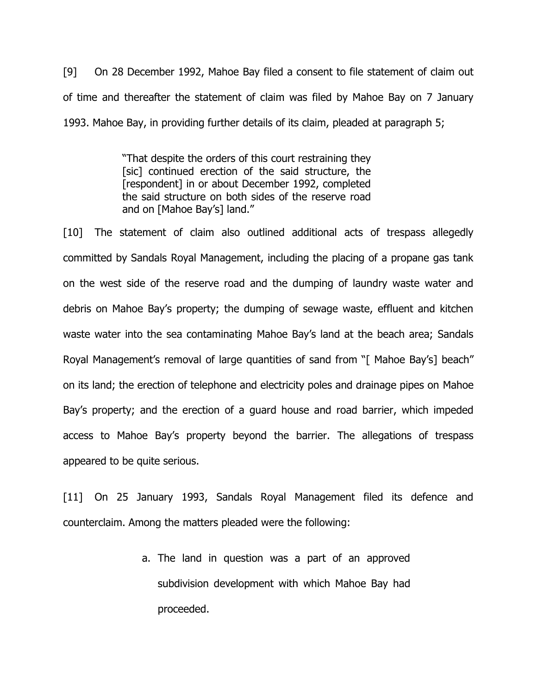[9] On 28 December 1992, Mahoe Bay filed a consent to file statement of claim out of time and thereafter the statement of claim was filed by Mahoe Bay on 7 January 1993. Mahoe Bay, in providing further details of its claim, pleaded at paragraph 5;

> "That despite the orders of this court restraining they [sic] continued erection of the said structure, the [respondent] in or about December 1992, completed the said structure on both sides of the reserve road and on [Mahoe Bay's] land."

[10] The statement of claim also outlined additional acts of trespass allegedly committed by Sandals Royal Management, including the placing of a propane gas tank on the west side of the reserve road and the dumping of laundry waste water and debris on Mahoe Bay's property; the dumping of sewage waste, effluent and kitchen waste water into the sea contaminating Mahoe Bay's land at the beach area; Sandals Royal Management's removal of large quantities of sand from "[ Mahoe Bay's] beach" on its land; the erection of telephone and electricity poles and drainage pipes on Mahoe Bay's property; and the erection of a guard house and road barrier, which impeded access to Mahoe Bay's property beyond the barrier. The allegations of trespass appeared to be quite serious.

[11] On 25 January 1993, Sandals Royal Management filed its defence and counterclaim. Among the matters pleaded were the following:

> a. The land in question was a part of an approved subdivision development with which Mahoe Bay had proceeded.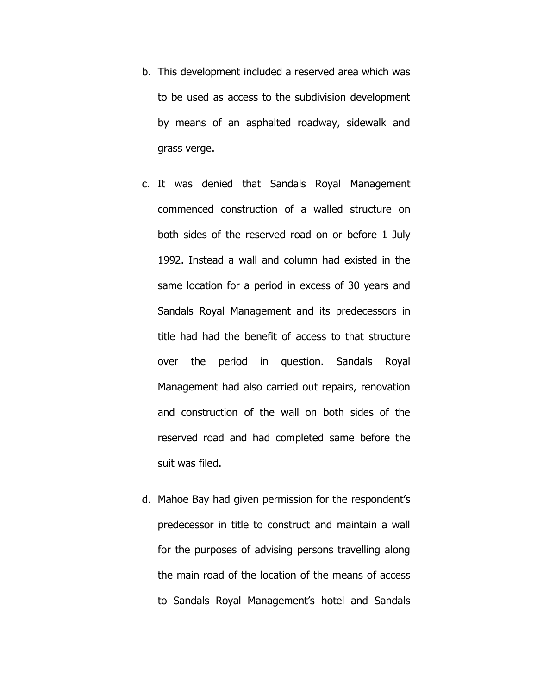- b. This development included a reserved area which was to be used as access to the subdivision development by means of an asphalted roadway, sidewalk and grass verge.
- c. It was denied that Sandals Royal Management commenced construction of a walled structure on both sides of the reserved road on or before 1 July 1992. Instead a wall and column had existed in the same location for a period in excess of 30 years and Sandals Royal Management and its predecessors in title had had the benefit of access to that structure over the period in question. Sandals Royal Management had also carried out repairs, renovation and construction of the wall on both sides of the reserved road and had completed same before the suit was filed.
- d. Mahoe Bay had given permission for the respondent's predecessor in title to construct and maintain a wall for the purposes of advising persons travelling along the main road of the location of the means of access to Sandals Royal Management's hotel and Sandals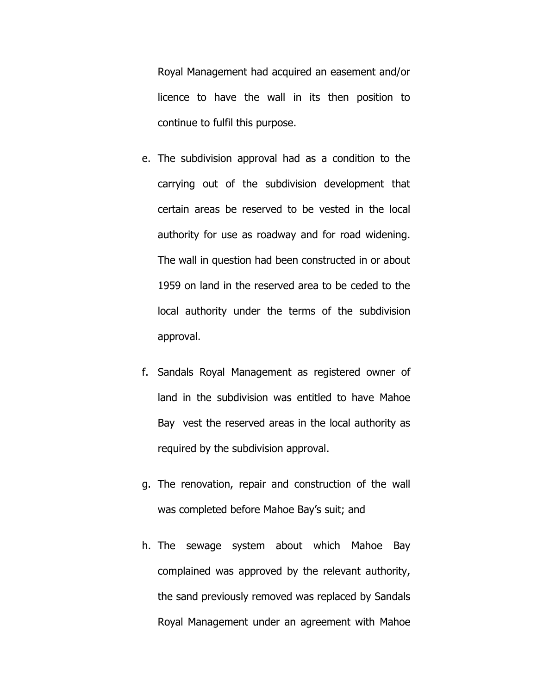Royal Management had acquired an easement and/or licence to have the wall in its then position to continue to fulfil this purpose.

- e. The subdivision approval had as a condition to the carrying out of the subdivision development that certain areas be reserved to be vested in the local authority for use as roadway and for road widening. The wall in question had been constructed in or about 1959 on land in the reserved area to be ceded to the local authority under the terms of the subdivision approval.
- f. Sandals Royal Management as registered owner of land in the subdivision was entitled to have Mahoe Bay vest the reserved areas in the local authority as required by the subdivision approval.
- g. The renovation, repair and construction of the wall was completed before Mahoe Bay's suit; and
- h. The sewage system about which Mahoe Bay complained was approved by the relevant authority, the sand previously removed was replaced by Sandals Royal Management under an agreement with Mahoe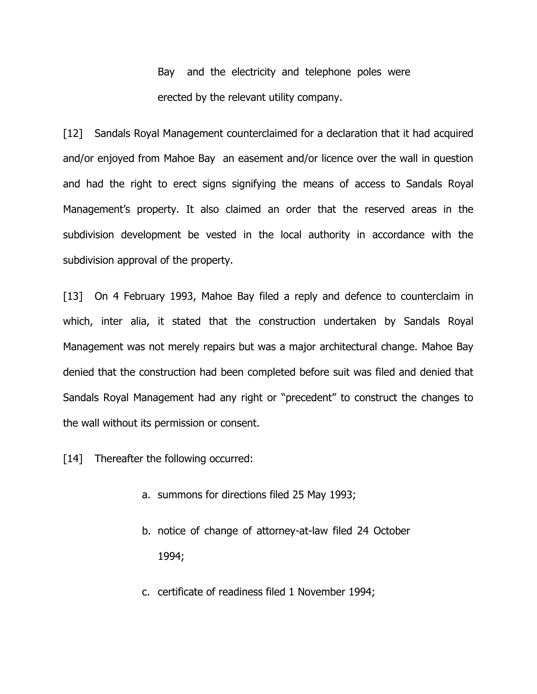Bay and the electricity and telephone poles were erected by the relevant utility company.

[12] Sandals Royal Management counterclaimed for a declaration that it had acquired and/or enjoyed from Mahoe Bay an easement and/or licence over the wall in question and had the right to erect signs signifying the means of access to Sandals Royal Management's property. It also claimed an order that the reserved areas in the subdivision development be vested in the local authority in accordance with the subdivision approval of the property.

[13] On 4 February 1993, Mahoe Bay filed a reply and defence to counterclaim in which, inter alia, it stated that the construction undertaken by Sandals Royal Management was not merely repairs but was a major architectural change. Mahoe Bay denied that the construction had been completed before suit was filed and denied that Sandals Royal Management had any right or "precedent" to construct the changes to the wall without its permission or consent.

[14] Thereafter the following occurred:

- a. summons for directions filed 25 May 1993;
- b. notice of change of attorney-at-law filed 24 October 1994;
- c. certificate of readiness filed 1 November 1994;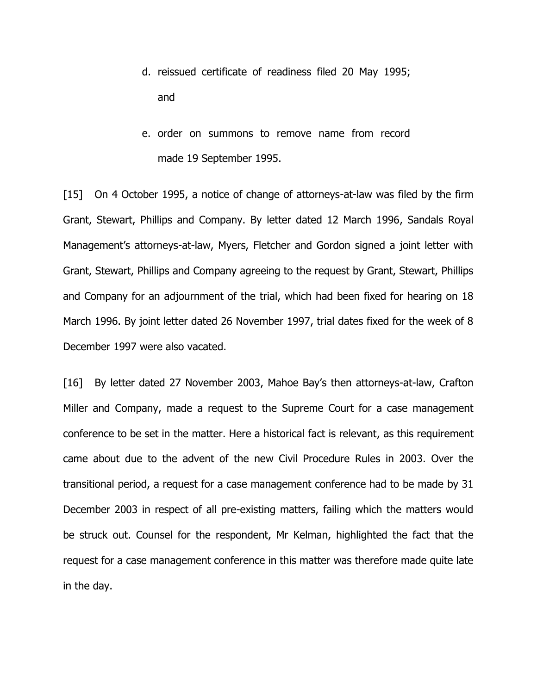- d. reissued certificate of readiness filed 20 May 1995; and
- e. order on summons to remove name from record made 19 September 1995.

[15] On 4 October 1995, a notice of change of attorneys-at-law was filed by the firm Grant, Stewart, Phillips and Company. By letter dated 12 March 1996, Sandals Royal Management's attorneys-at-law, Myers, Fletcher and Gordon signed a joint letter with Grant, Stewart, Phillips and Company agreeing to the request by Grant, Stewart, Phillips and Company for an adjournment of the trial, which had been fixed for hearing on 18 March 1996. By joint letter dated 26 November 1997, trial dates fixed for the week of 8 December 1997 were also vacated.

[16] By letter dated 27 November 2003, Mahoe Bay's then attorneys-at-law, Crafton Miller and Company, made a request to the Supreme Court for a case management conference to be set in the matter. Here a historical fact is relevant, as this requirement came about due to the advent of the new Civil Procedure Rules in 2003. Over the transitional period, a request for a case management conference had to be made by 31 December 2003 in respect of all pre-existing matters, failing which the matters would be struck out. Counsel for the respondent, Mr Kelman, highlighted the fact that the request for a case management conference in this matter was therefore made quite late in the day.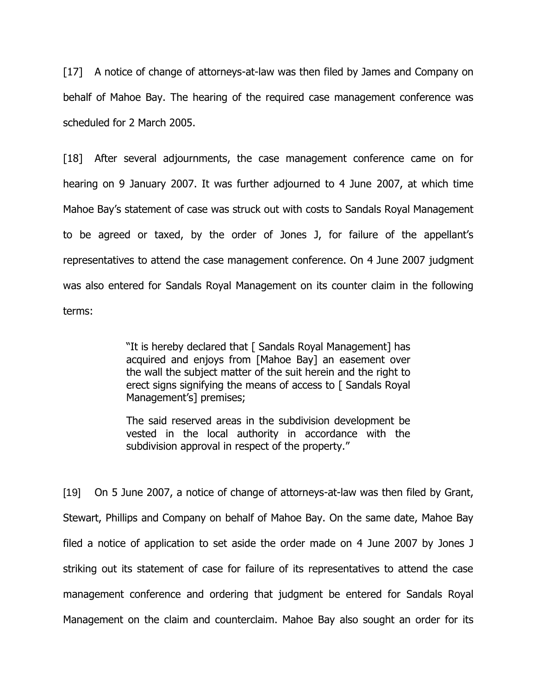[17] A notice of change of attorneys-at-law was then filed by James and Company on behalf of Mahoe Bay. The hearing of the required case management conference was scheduled for 2 March 2005.

[18] After several adjournments, the case management conference came on for hearing on 9 January 2007. It was further adjourned to 4 June 2007, at which time Mahoe Bay's statement of case was struck out with costs to Sandals Royal Management to be agreed or taxed, by the order of Jones J, for failure of the appellant's representatives to attend the case management conference. On 4 June 2007 judgment was also entered for Sandals Royal Management on its counter claim in the following terms:

> "It is hereby declared that [ Sandals Royal Management] has acquired and enjoys from [Mahoe Bay] an easement over the wall the subject matter of the suit herein and the right to erect signs signifying the means of access to [ Sandals Royal Management's] premises;

> The said reserved areas in the subdivision development be vested in the local authority in accordance with the subdivision approval in respect of the property."

[19] On 5 June 2007, a notice of change of attorneys-at-law was then filed by Grant, Stewart, Phillips and Company on behalf of Mahoe Bay. On the same date, Mahoe Bay filed a notice of application to set aside the order made on 4 June 2007 by Jones J striking out its statement of case for failure of its representatives to attend the case management conference and ordering that judgment be entered for Sandals Royal Management on the claim and counterclaim. Mahoe Bay also sought an order for its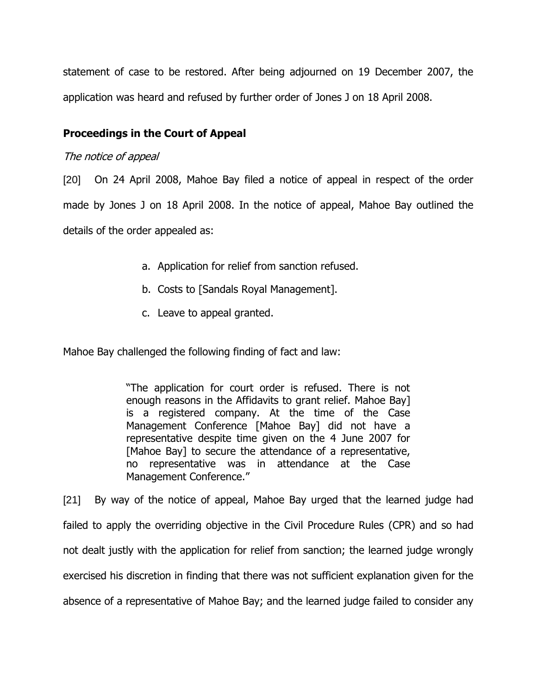statement of case to be restored. After being adjourned on 19 December 2007, the application was heard and refused by further order of Jones J on 18 April 2008.

# **Proceedings in the Court of Appeal**

## The notice of appeal

[20] On 24 April 2008, Mahoe Bay filed a notice of appeal in respect of the order made by Jones J on 18 April 2008. In the notice of appeal, Mahoe Bay outlined the details of the order appealed as:

- a. Application for relief from sanction refused.
- b. Costs to [Sandals Royal Management].
- c. Leave to appeal granted.

Mahoe Bay challenged the following finding of fact and law:

"The application for court order is refused. There is not enough reasons in the Affidavits to grant relief. Mahoe Bay] is a registered company. At the time of the Case Management Conference [Mahoe Bay] did not have a representative despite time given on the 4 June 2007 for [Mahoe Bay] to secure the attendance of a representative, no representative was in attendance at the Case Management Conference."

[21] By way of the notice of appeal, Mahoe Bay urged that the learned judge had failed to apply the overriding objective in the Civil Procedure Rules (CPR) and so had not dealt justly with the application for relief from sanction; the learned judge wrongly exercised his discretion in finding that there was not sufficient explanation given for the absence of a representative of Mahoe Bay; and the learned judge failed to consider any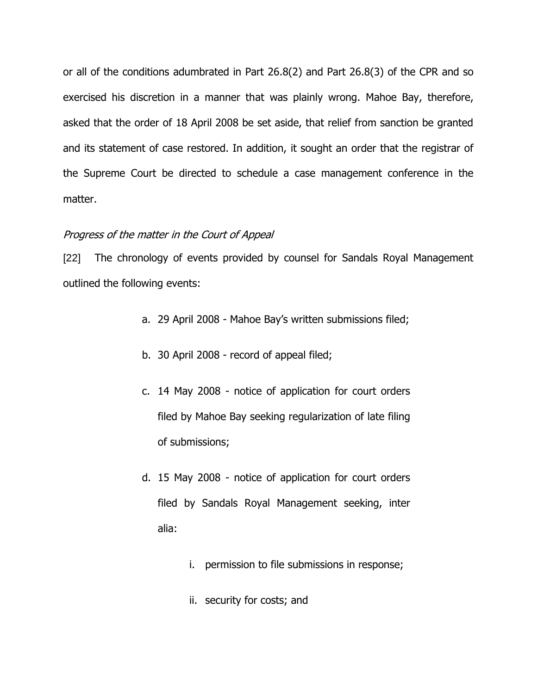or all of the conditions adumbrated in Part 26.8(2) and Part 26.8(3) of the CPR and so exercised his discretion in a manner that was plainly wrong. Mahoe Bay, therefore, asked that the order of 18 April 2008 be set aside, that relief from sanction be granted and its statement of case restored. In addition, it sought an order that the registrar of the Supreme Court be directed to schedule a case management conference in the matter.

## Progress of the matter in the Court of Appeal

[22] The chronology of events provided by counsel for Sandals Royal Management outlined the following events:

- a. 29 April 2008 Mahoe Bay's written submissions filed;
- b. 30 April 2008 record of appeal filed;
- c. 14 May 2008 notice of application for court orders filed by Mahoe Bay seeking regularization of late filing of submissions;
- d. 15 May 2008 notice of application for court orders filed by Sandals Royal Management seeking, inter alia:
	- i. permission to file submissions in response;
	- ii. security for costs; and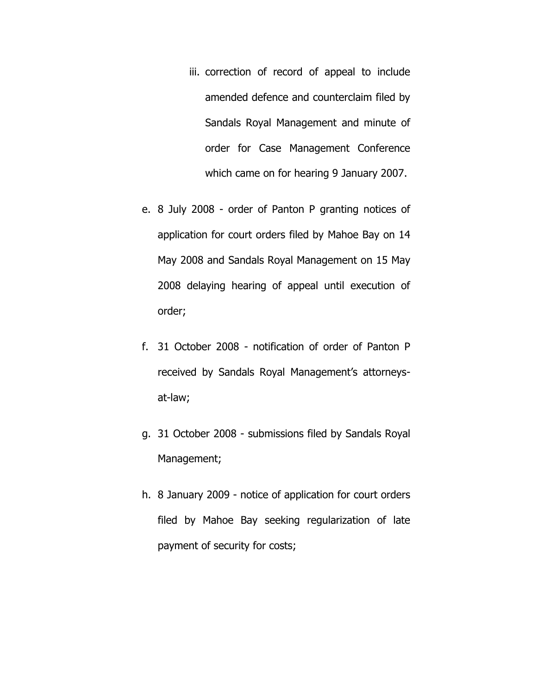- iii. correction of record of appeal to include amended defence and counterclaim filed by Sandals Royal Management and minute of order for Case Management Conference which came on for hearing 9 January 2007.
- e. 8 July 2008 order of Panton P granting notices of application for court orders filed by Mahoe Bay on 14 May 2008 and Sandals Royal Management on 15 May 2008 delaying hearing of appeal until execution of order;
- f. 31 October 2008 notification of order of Panton P received by Sandals Royal Management's attorneysat-law;
- g. 31 October 2008 submissions filed by Sandals Royal Management;
- h. 8 January 2009 notice of application for court orders filed by Mahoe Bay seeking regularization of late payment of security for costs;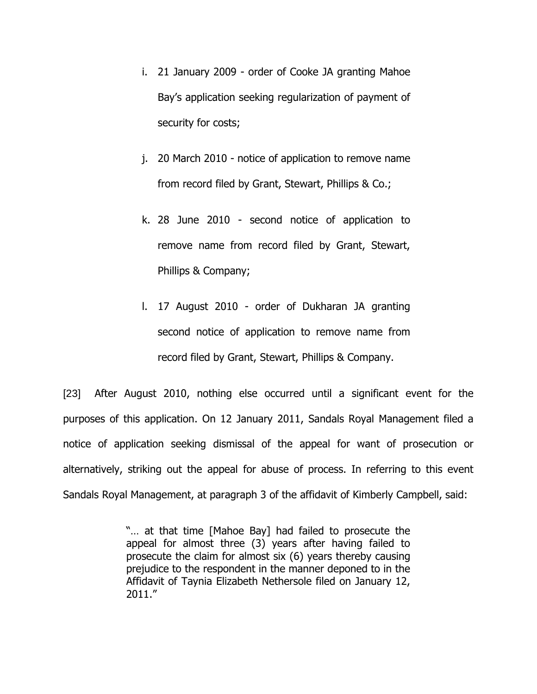- i. 21 January 2009 order of Cooke JA granting Mahoe Bay's application seeking regularization of payment of security for costs;
- j. 20 March 2010 notice of application to remove name from record filed by Grant, Stewart, Phillips & Co.;
- k. 28 June 2010 second notice of application to remove name from record filed by Grant, Stewart, Phillips & Company;
- l. 17 August 2010 order of Dukharan JA granting second notice of application to remove name from record filed by Grant, Stewart, Phillips & Company.

[23] After August 2010, nothing else occurred until a significant event for the purposes of this application. On 12 January 2011, Sandals Royal Management filed a notice of application seeking dismissal of the appeal for want of prosecution or alternatively, striking out the appeal for abuse of process. In referring to this event Sandals Royal Management, at paragraph 3 of the affidavit of Kimberly Campbell, said:

> "… at that time [Mahoe Bay] had failed to prosecute the appeal for almost three (3) years after having failed to prosecute the claim for almost six (6) years thereby causing prejudice to the respondent in the manner deponed to in the Affidavit of Taynia Elizabeth Nethersole filed on January 12, 2011."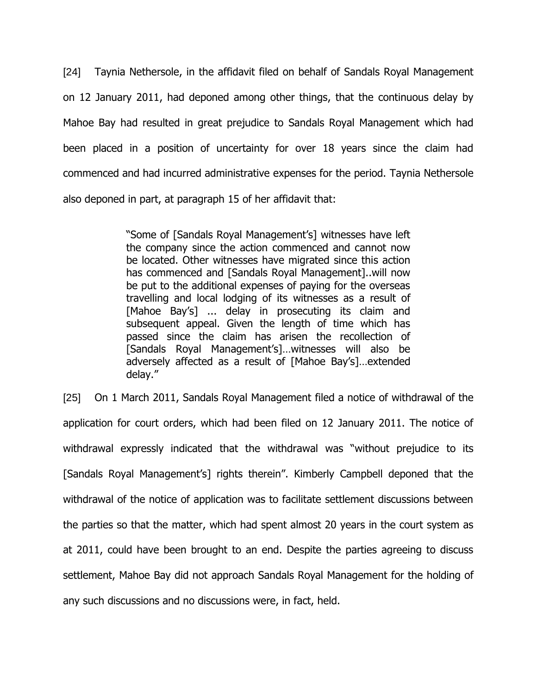[24] Taynia Nethersole, in the affidavit filed on behalf of Sandals Royal Management on 12 January 2011, had deponed among other things, that the continuous delay by Mahoe Bay had resulted in great prejudice to Sandals Royal Management which had been placed in a position of uncertainty for over 18 years since the claim had commenced and had incurred administrative expenses for the period. Taynia Nethersole also deponed in part, at paragraph 15 of her affidavit that:

> "Some of [Sandals Royal Management's] witnesses have left the company since the action commenced and cannot now be located. Other witnesses have migrated since this action has commenced and [Sandals Royal Management]..will now be put to the additional expenses of paying for the overseas travelling and local lodging of its witnesses as a result of [Mahoe Bay's] ... delay in prosecuting its claim and subsequent appeal. Given the length of time which has passed since the claim has arisen the recollection of [Sandals Royal Management's]…witnesses will also be adversely affected as a result of [Mahoe Bay's]…extended delay."

[25] On 1 March 2011, Sandals Royal Management filed a notice of withdrawal of the application for court orders, which had been filed on 12 January 2011. The notice of withdrawal expressly indicated that the withdrawal was "without prejudice to its [Sandals Royal Management's] rights therein". Kimberly Campbell deponed that the withdrawal of the notice of application was to facilitate settlement discussions between the parties so that the matter, which had spent almost 20 years in the court system as at 2011, could have been brought to an end. Despite the parties agreeing to discuss settlement, Mahoe Bay did not approach Sandals Royal Management for the holding of any such discussions and no discussions were, in fact, held.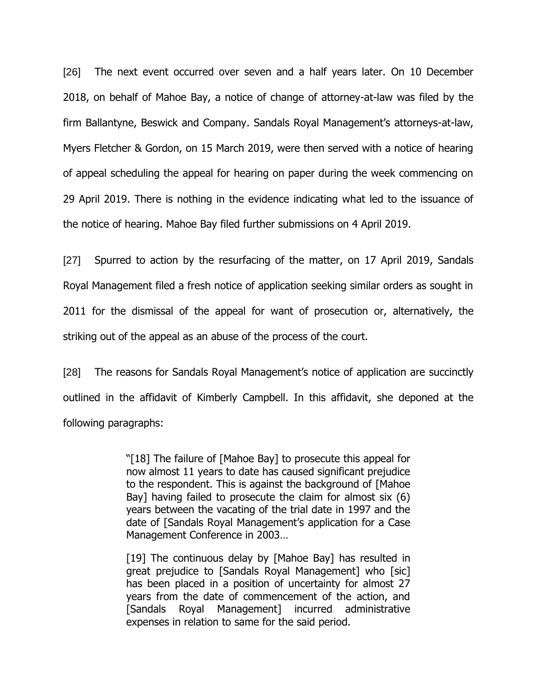[26] The next event occurred over seven and a half years later. On 10 December 2018, on behalf of Mahoe Bay, a notice of change of attorney-at-law was filed by the firm Ballantyne, Beswick and Company. Sandals Royal Management's attorneys-at-law, Myers Fletcher & Gordon, on 15 March 2019, were then served with a notice of hearing of appeal scheduling the appeal for hearing on paper during the week commencing on 29 April 2019. There is nothing in the evidence indicating what led to the issuance of the notice of hearing. Mahoe Bay filed further submissions on 4 April 2019.

[27] Spurred to action by the resurfacing of the matter, on 17 April 2019, Sandals Royal Management filed a fresh notice of application seeking similar orders as sought in 2011 for the dismissal of the appeal for want of prosecution or, alternatively, the striking out of the appeal as an abuse of the process of the court.

[28] The reasons for Sandals Royal Management's notice of application are succinctly outlined in the affidavit of Kimberly Campbell. In this affidavit, she deponed at the following paragraphs:

> "[18] The failure of [Mahoe Bay] to prosecute this appeal for now almost 11 years to date has caused significant prejudice to the respondent. This is against the background of [Mahoe Bay] having failed to prosecute the claim for almost six (6) years between the vacating of the trial date in 1997 and the date of [Sandals Royal Management's application for a Case Management Conference in 2003…

> [19] The continuous delay by [Mahoe Bay] has resulted in great prejudice to [Sandals Royal Management] who [sic] has been placed in a position of uncertainty for almost 27 years from the date of commencement of the action, and [Sandals Royal Management] incurred administrative expenses in relation to same for the said period.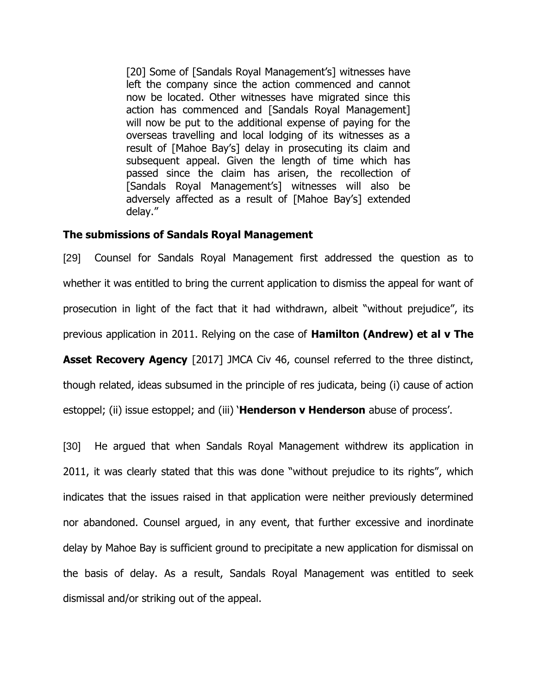[20] Some of [Sandals Royal Management's] witnesses have left the company since the action commenced and cannot now be located. Other witnesses have migrated since this action has commenced and [Sandals Royal Management] will now be put to the additional expense of paying for the overseas travelling and local lodging of its witnesses as a result of [Mahoe Bay's] delay in prosecuting its claim and subsequent appeal. Given the length of time which has passed since the claim has arisen, the recollection of [Sandals Royal Management's] witnesses will also be adversely affected as a result of [Mahoe Bay's] extended delay."

## **The submissions of Sandals Royal Management**

[29] Counsel for Sandals Royal Management first addressed the question as to whether it was entitled to bring the current application to dismiss the appeal for want of prosecution in light of the fact that it had withdrawn, albeit "without prejudice", its previous application in 2011. Relying on the case of **Hamilton (Andrew) et al v The** 

**Asset Recovery Agency** [2017] JMCA Civ 46, counsel referred to the three distinct, though related, ideas subsumed in the principle of res judicata, being (i) cause of action estoppel; (ii) issue estoppel; and (iii) '**Henderson v Henderson** abuse of process'.

[30] He argued that when Sandals Royal Management withdrew its application in 2011, it was clearly stated that this was done "without prejudice to its rights", which indicates that the issues raised in that application were neither previously determined nor abandoned. Counsel argued, in any event, that further excessive and inordinate delay by Mahoe Bay is sufficient ground to precipitate a new application for dismissal on the basis of delay. As a result, Sandals Royal Management was entitled to seek dismissal and/or striking out of the appeal.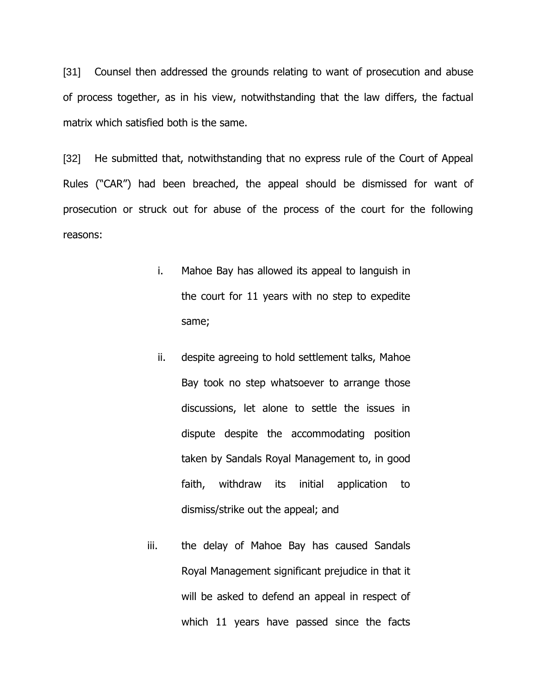[31] Counsel then addressed the grounds relating to want of prosecution and abuse of process together, as in his view, notwithstanding that the law differs, the factual matrix which satisfied both is the same.

[32] He submitted that, notwithstanding that no express rule of the Court of Appeal Rules ("CAR") had been breached, the appeal should be dismissed for want of prosecution or struck out for abuse of the process of the court for the following reasons:

- i. Mahoe Bay has allowed its appeal to languish in the court for 11 years with no step to expedite same;
- ii. despite agreeing to hold settlement talks, Mahoe Bay took no step whatsoever to arrange those discussions, let alone to settle the issues in dispute despite the accommodating position taken by Sandals Royal Management to, in good faith, withdraw its initial application to dismiss/strike out the appeal; and
- iii. the delay of Mahoe Bay has caused Sandals Royal Management significant prejudice in that it will be asked to defend an appeal in respect of which 11 years have passed since the facts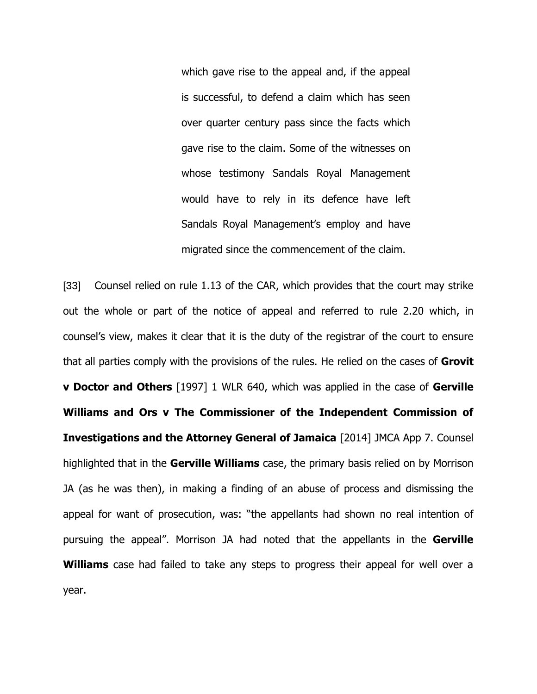which gave rise to the appeal and, if the appeal is successful, to defend a claim which has seen over quarter century pass since the facts which gave rise to the claim. Some of the witnesses on whose testimony Sandals Royal Management would have to rely in its defence have left Sandals Royal Management's employ and have migrated since the commencement of the claim.

[33] Counsel relied on rule 1.13 of the CAR, which provides that the court may strike out the whole or part of the notice of appeal and referred to rule 2.20 which, in counsel's view, makes it clear that it is the duty of the registrar of the court to ensure that all parties comply with the provisions of the rules. He relied on the cases of **Grovit v Doctor and Others** [1997] 1 WLR 640, which was applied in the case of **Gerville Williams and Ors v The Commissioner of the Independent Commission of Investigations and the Attorney General of Jamaica** [2014] JMCA App 7. Counsel highlighted that in the **Gerville Williams** case, the primary basis relied on by Morrison JA (as he was then), in making a finding of an abuse of process and dismissing the appeal for want of prosecution, was: "the appellants had shown no real intention of pursuing the appeal". Morrison JA had noted that the appellants in the **Gerville Williams** case had failed to take any steps to progress their appeal for well over a year.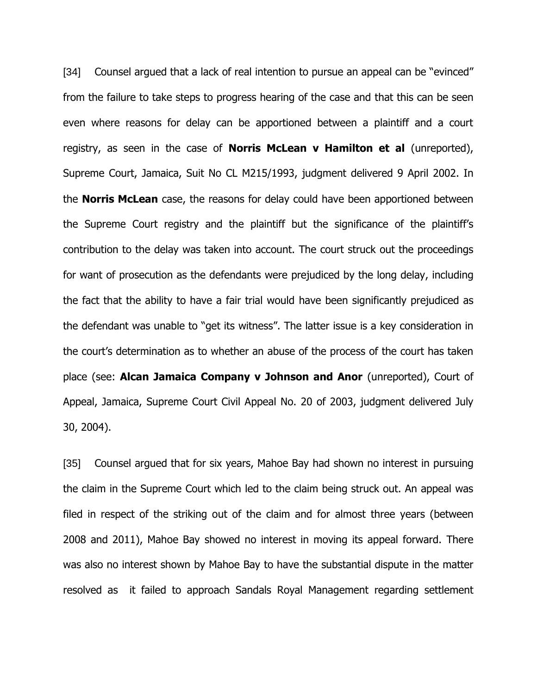[34] Counsel argued that a lack of real intention to pursue an appeal can be "evinced" from the failure to take steps to progress hearing of the case and that this can be seen even where reasons for delay can be apportioned between a plaintiff and a court registry, as seen in the case of **Norris McLean v Hamilton et al** (unreported), Supreme Court, Jamaica, Suit No CL M215/1993, judgment delivered 9 April 2002. In the **Norris McLean** case, the reasons for delay could have been apportioned between the Supreme Court registry and the plaintiff but the significance of the plaintiff's contribution to the delay was taken into account. The court struck out the proceedings for want of prosecution as the defendants were prejudiced by the long delay, including the fact that the ability to have a fair trial would have been significantly prejudiced as the defendant was unable to "get its witness". The latter issue is a key consideration in the court's determination as to whether an abuse of the process of the court has taken place (see: **Alcan Jamaica Company v Johnson and Anor** (unreported), Court of Appeal, Jamaica, Supreme Court Civil Appeal No. 20 of 2003, judgment delivered July 30, 2004).

[35] Counsel argued that for six years, Mahoe Bay had shown no interest in pursuing the claim in the Supreme Court which led to the claim being struck out. An appeal was filed in respect of the striking out of the claim and for almost three years (between 2008 and 2011), Mahoe Bay showed no interest in moving its appeal forward. There was also no interest shown by Mahoe Bay to have the substantial dispute in the matter resolved as it failed to approach Sandals Royal Management regarding settlement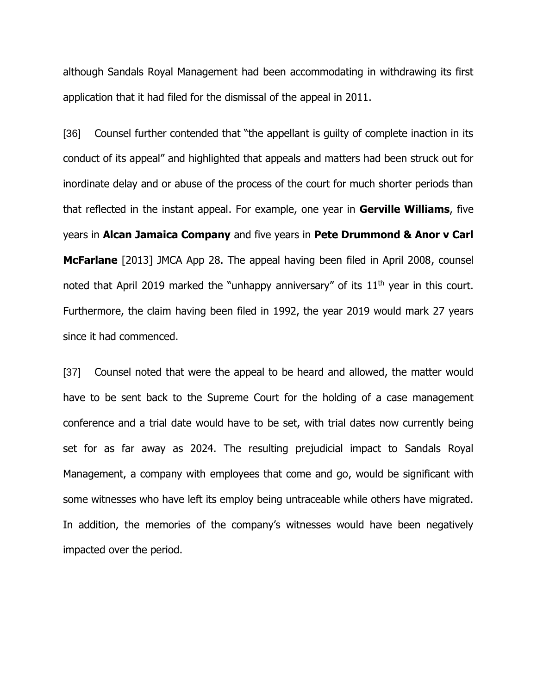although Sandals Royal Management had been accommodating in withdrawing its first application that it had filed for the dismissal of the appeal in 2011.

[36] Counsel further contended that "the appellant is quilty of complete inaction in its conduct of its appeal" and highlighted that appeals and matters had been struck out for inordinate delay and or abuse of the process of the court for much shorter periods than that reflected in the instant appeal. For example, one year in **Gerville Williams**, five years in **Alcan Jamaica Company** and five years in **Pete Drummond & Anor v Carl McFarlane** [2013] JMCA App 28. The appeal having been filed in April 2008, counsel noted that April 2019 marked the "unhappy anniversary" of its  $11<sup>th</sup>$  year in this court. Furthermore, the claim having been filed in 1992, the year 2019 would mark 27 years since it had commenced.

[37] Counsel noted that were the appeal to be heard and allowed, the matter would have to be sent back to the Supreme Court for the holding of a case management conference and a trial date would have to be set, with trial dates now currently being set for as far away as 2024. The resulting prejudicial impact to Sandals Royal Management, a company with employees that come and go, would be significant with some witnesses who have left its employ being untraceable while others have migrated. In addition, the memories of the company's witnesses would have been negatively impacted over the period.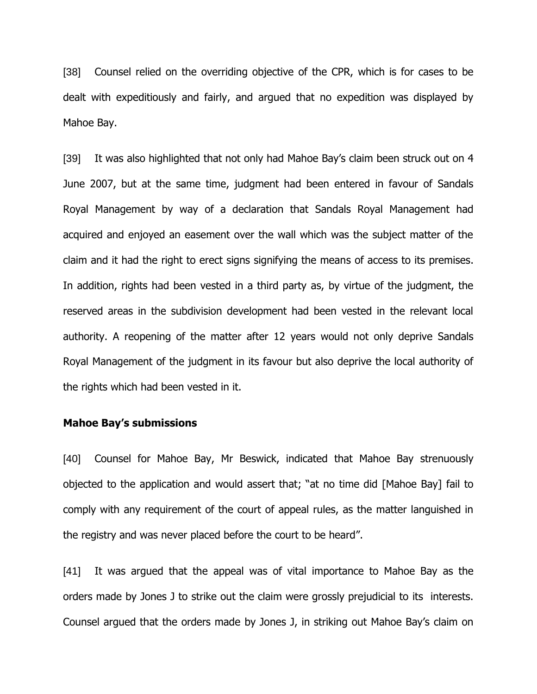[38] Counsel relied on the overriding objective of the CPR, which is for cases to be dealt with expeditiously and fairly, and argued that no expedition was displayed by Mahoe Bay.

[39] It was also highlighted that not only had Mahoe Bay's claim been struck out on 4 June 2007, but at the same time, judgment had been entered in favour of Sandals Royal Management by way of a declaration that Sandals Royal Management had acquired and enjoyed an easement over the wall which was the subject matter of the claim and it had the right to erect signs signifying the means of access to its premises. In addition, rights had been vested in a third party as, by virtue of the judgment, the reserved areas in the subdivision development had been vested in the relevant local authority. A reopening of the matter after 12 years would not only deprive Sandals Royal Management of the judgment in its favour but also deprive the local authority of the rights which had been vested in it.

#### **Mahoe Bay's submissions**

[40] Counsel for Mahoe Bay, Mr Beswick, indicated that Mahoe Bay strenuously objected to the application and would assert that; "at no time did [Mahoe Bay] fail to comply with any requirement of the court of appeal rules, as the matter languished in the registry and was never placed before the court to be heard".

[41] It was argued that the appeal was of vital importance to Mahoe Bay as the orders made by Jones J to strike out the claim were grossly prejudicial to its interests. Counsel argued that the orders made by Jones J, in striking out Mahoe Bay's claim on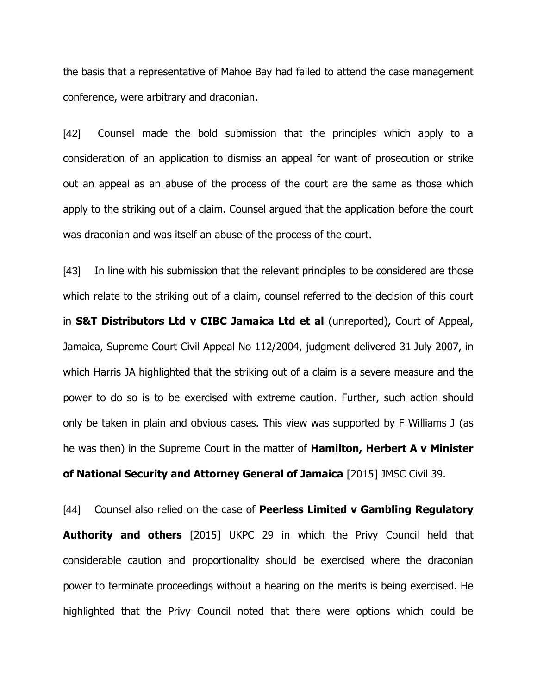the basis that a representative of Mahoe Bay had failed to attend the case management conference, were arbitrary and draconian.

[42] Counsel made the bold submission that the principles which apply to a consideration of an application to dismiss an appeal for want of prosecution or strike out an appeal as an abuse of the process of the court are the same as those which apply to the striking out of a claim. Counsel argued that the application before the court was draconian and was itself an abuse of the process of the court.

[43] In line with his submission that the relevant principles to be considered are those which relate to the striking out of a claim, counsel referred to the decision of this court in **S&T Distributors Ltd v CIBC Jamaica Ltd et al** (unreported), Court of Appeal, Jamaica, Supreme Court Civil Appeal No 112/2004, judgment delivered 31 July 2007, in which Harris JA highlighted that the striking out of a claim is a severe measure and the power to do so is to be exercised with extreme caution. Further, such action should only be taken in plain and obvious cases. This view was supported by F Williams J (as he was then) in the Supreme Court in the matter of **Hamilton, Herbert A v Minister of National Security and Attorney General of Jamaica** [2015] JMSC Civil 39.

[44] Counsel also relied on the case of **Peerless Limited v Gambling Regulatory Authority and others** [2015] UKPC 29 in which the Privy Council held that considerable caution and proportionality should be exercised where the draconian power to terminate proceedings without a hearing on the merits is being exercised. He highlighted that the Privy Council noted that there were options which could be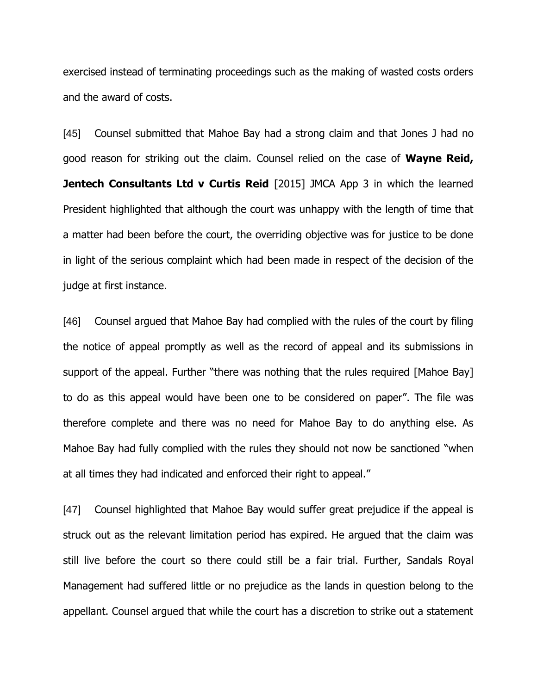exercised instead of terminating proceedings such as the making of wasted costs orders and the award of costs.

[45] Counsel submitted that Mahoe Bay had a strong claim and that Jones J had no good reason for striking out the claim. Counsel relied on the case of **Wayne Reid, Jentech Consultants Ltd v Curtis Reid** [2015] JMCA App 3 in which the learned President highlighted that although the court was unhappy with the length of time that a matter had been before the court, the overriding objective was for justice to be done in light of the serious complaint which had been made in respect of the decision of the judge at first instance.

[46] Counsel argued that Mahoe Bay had complied with the rules of the court by filing the notice of appeal promptly as well as the record of appeal and its submissions in support of the appeal. Further "there was nothing that the rules required [Mahoe Bay] to do as this appeal would have been one to be considered on paper". The file was therefore complete and there was no need for Mahoe Bay to do anything else. As Mahoe Bay had fully complied with the rules they should not now be sanctioned "when at all times they had indicated and enforced their right to appeal."

[47] Counsel highlighted that Mahoe Bay would suffer great prejudice if the appeal is struck out as the relevant limitation period has expired. He argued that the claim was still live before the court so there could still be a fair trial. Further, Sandals Royal Management had suffered little or no prejudice as the lands in question belong to the appellant. Counsel argued that while the court has a discretion to strike out a statement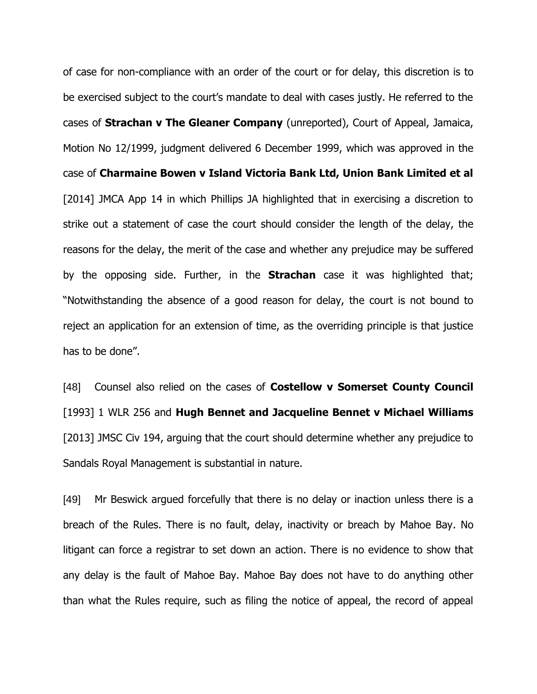of case for non-compliance with an order of the court or for delay, this discretion is to be exercised subject to the court's mandate to deal with cases justly. He referred to the cases of **Strachan v The Gleaner Company** (unreported), Court of Appeal, Jamaica, Motion No 12/1999, judgment delivered 6 December 1999, which was approved in the case of **Charmaine Bowen v Island Victoria Bank Ltd, Union Bank Limited et al**  [2014] JMCA App 14 in which Phillips JA highlighted that in exercising a discretion to strike out a statement of case the court should consider the length of the delay, the reasons for the delay, the merit of the case and whether any prejudice may be suffered by the opposing side. Further, in the **Strachan** case it was highlighted that; "Notwithstanding the absence of a good reason for delay, the court is not bound to reject an application for an extension of time, as the overriding principle is that justice has to be done".

[48] Counsel also relied on the cases of **Costellow v Somerset County Council**  [1993] 1 WLR 256 and **Hugh Bennet and Jacqueline Bennet v Michael Williams** [2013] JMSC Civ 194, arguing that the court should determine whether any prejudice to Sandals Royal Management is substantial in nature.

[49] Mr Beswick argued forcefully that there is no delay or inaction unless there is a breach of the Rules. There is no fault, delay, inactivity or breach by Mahoe Bay. No litigant can force a registrar to set down an action. There is no evidence to show that any delay is the fault of Mahoe Bay. Mahoe Bay does not have to do anything other than what the Rules require, such as filing the notice of appeal, the record of appeal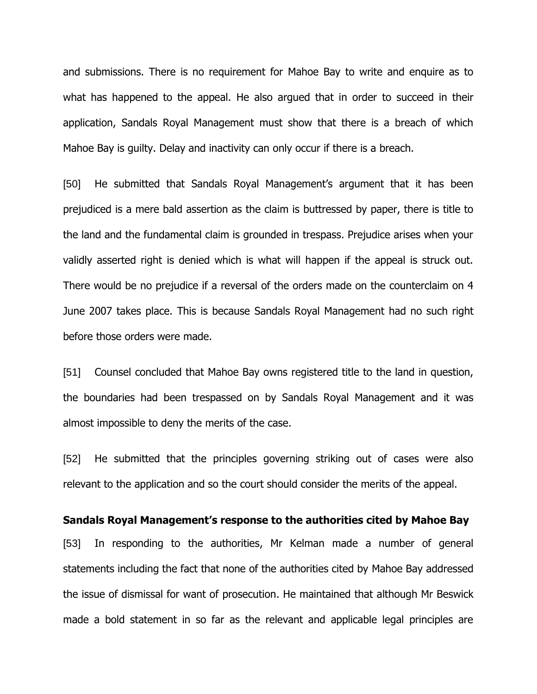and submissions. There is no requirement for Mahoe Bay to write and enquire as to what has happened to the appeal. He also argued that in order to succeed in their application, Sandals Royal Management must show that there is a breach of which Mahoe Bay is guilty. Delay and inactivity can only occur if there is a breach.

[50] He submitted that Sandals Royal Management's argument that it has been prejudiced is a mere bald assertion as the claim is buttressed by paper, there is title to the land and the fundamental claim is grounded in trespass. Prejudice arises when your validly asserted right is denied which is what will happen if the appeal is struck out. There would be no prejudice if a reversal of the orders made on the counterclaim on 4 June 2007 takes place. This is because Sandals Royal Management had no such right before those orders were made.

[51] Counsel concluded that Mahoe Bay owns registered title to the land in question, the boundaries had been trespassed on by Sandals Royal Management and it was almost impossible to deny the merits of the case.

[52] He submitted that the principles governing striking out of cases were also relevant to the application and so the court should consider the merits of the appeal.

#### **Sandals Royal Management's response to the authorities cited by Mahoe Bay**

[53] In responding to the authorities, Mr Kelman made a number of general statements including the fact that none of the authorities cited by Mahoe Bay addressed the issue of dismissal for want of prosecution. He maintained that although Mr Beswick made a bold statement in so far as the relevant and applicable legal principles are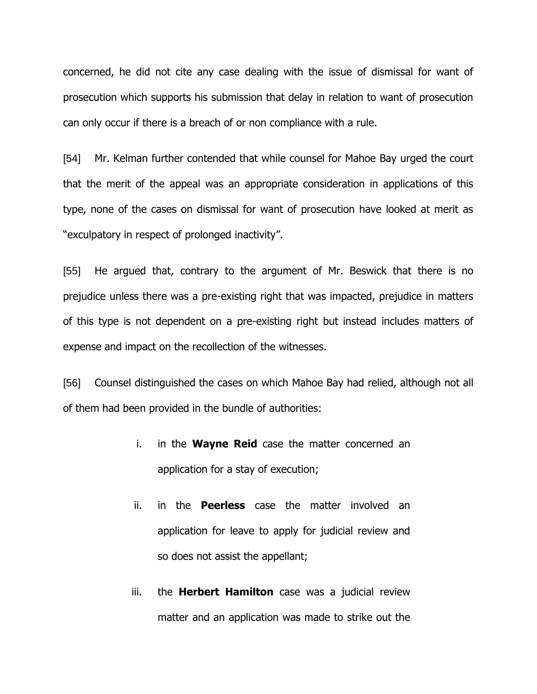concerned, he did not cite any case dealing with the issue of dismissal for want of prosecution which supports his submission that delay in relation to want of prosecution can only occur if there is a breach of or non compliance with a rule.

[54] Mr. Kelman further contended that while counsel for Mahoe Bay urged the court that the merit of the appeal was an appropriate consideration in applications of this type, none of the cases on dismissal for want of prosecution have looked at merit as "exculpatory in respect of prolonged inactivity".

[55] He argued that, contrary to the argument of Mr. Beswick that there is no prejudice unless there was a pre-existing right that was impacted, prejudice in matters of this type is not dependent on a pre-existing right but instead includes matters of expense and impact on the recollection of the witnesses.

[56] Counsel distinguished the cases on which Mahoe Bay had relied, although not all of them had been provided in the bundle of authorities:

- i. in the **Wayne Reid** case the matter concerned an application for a stay of execution;
- ii. in the **Peerless** case the matter involved an application for leave to apply for judicial review and so does not assist the appellant;
- iii. the **Herbert Hamilton** case was a judicial review matter and an application was made to strike out the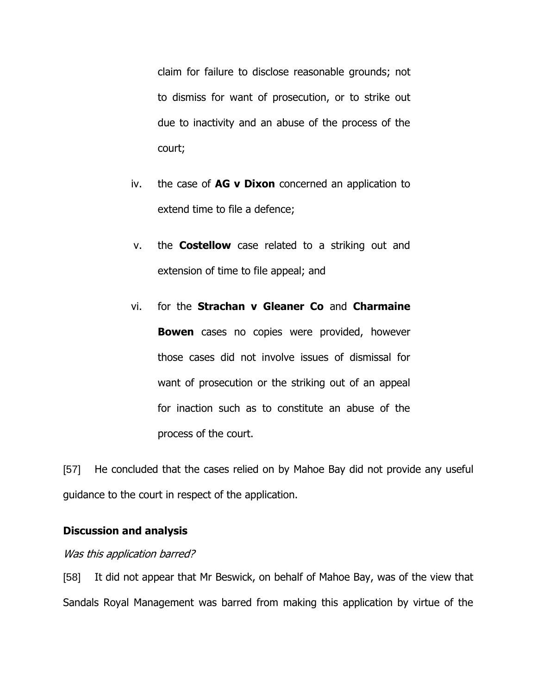claim for failure to disclose reasonable grounds; not to dismiss for want of prosecution, or to strike out due to inactivity and an abuse of the process of the court;

- iv. the case of **AG v Dixon** concerned an application to extend time to file a defence;
- v. the **Costellow** case related to a striking out and extension of time to file appeal; and
- vi. for the **Strachan v Gleaner Co** and **Charmaine Bowen** cases no copies were provided, however those cases did not involve issues of dismissal for want of prosecution or the striking out of an appeal for inaction such as to constitute an abuse of the process of the court.

[57] He concluded that the cases relied on by Mahoe Bay did not provide any useful guidance to the court in respect of the application.

## **Discussion and analysis**

## Was this application barred?

[58] It did not appear that Mr Beswick, on behalf of Mahoe Bay, was of the view that Sandals Royal Management was barred from making this application by virtue of the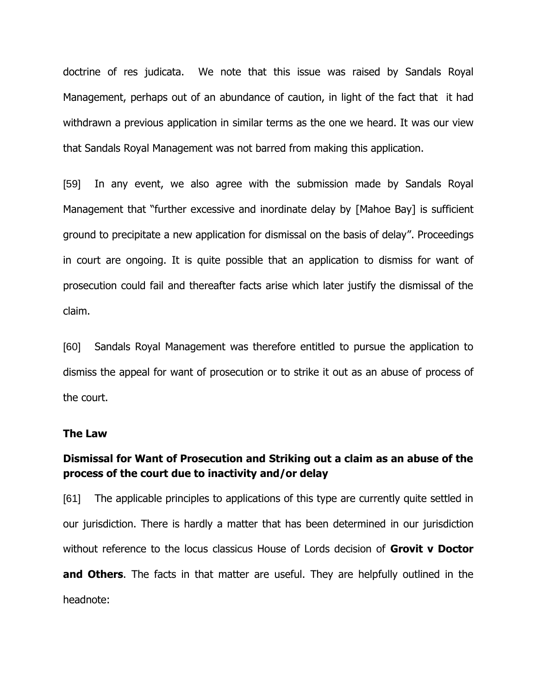doctrine of res judicata. We note that this issue was raised by Sandals Royal Management, perhaps out of an abundance of caution, in light of the fact that it had withdrawn a previous application in similar terms as the one we heard. It was our view that Sandals Royal Management was not barred from making this application.

[59] In any event, we also agree with the submission made by Sandals Royal Management that "further excessive and inordinate delay by [Mahoe Bay] is sufficient ground to precipitate a new application for dismissal on the basis of delay". Proceedings in court are ongoing. It is quite possible that an application to dismiss for want of prosecution could fail and thereafter facts arise which later justify the dismissal of the claim.

[60] Sandals Royal Management was therefore entitled to pursue the application to dismiss the appeal for want of prosecution or to strike it out as an abuse of process of the court.

## **The Law**

# **Dismissal for Want of Prosecution and Striking out a claim as an abuse of the process of the court due to inactivity and/or delay**

[61] The applicable principles to applications of this type are currently quite settled in our jurisdiction. There is hardly a matter that has been determined in our jurisdiction without reference to the locus classicus House of Lords decision of **Grovit v Doctor and Others**. The facts in that matter are useful. They are helpfully outlined in the headnote: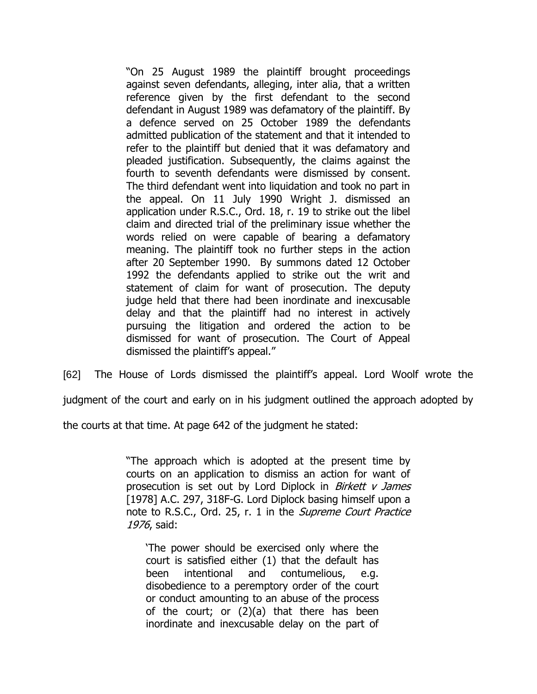"On 25 August 1989 the plaintiff brought proceedings against seven defendants, alleging, inter alia, that a written reference given by the first defendant to the second defendant in August 1989 was defamatory of the plaintiff. By a defence served on 25 October 1989 the defendants admitted publication of the statement and that it intended to refer to the plaintiff but denied that it was defamatory and pleaded justification. Subsequently, the claims against the fourth to seventh defendants were dismissed by consent. The third defendant went into liquidation and took no part in the appeal. On 11 July 1990 Wright J. dismissed an application under R.S.C., Ord. 18, r. 19 to strike out the libel claim and directed trial of the preliminary issue whether the words relied on were capable of bearing a defamatory meaning. The plaintiff took no further steps in the action after 20 September 1990. By summons dated 12 October 1992 the defendants applied to strike out the writ and statement of claim for want of prosecution. The deputy judge held that there had been inordinate and inexcusable delay and that the plaintiff had no interest in actively pursuing the litigation and ordered the action to be dismissed for want of prosecution. The Court of Appeal dismissed the plaintiff's appeal."

[62] The House of Lords dismissed the plaintiff's appeal. Lord Woolf wrote the

judgment of the court and early on in his judgment outlined the approach adopted by

the courts at that time. At page 642 of the judgment he stated:

"The approach which is adopted at the present time by courts on an application to dismiss an action for want of prosecution is set out by Lord Diplock in Birkett v James [1978] A.C. 297, 318F-G. Lord Diplock basing himself upon a note to R.S.C., Ord. 25, r. 1 in the Supreme Court Practice 1976, said:

'The power should be exercised only where the court is satisfied either (1) that the default has been intentional and contumelious, e.g. disobedience to a peremptory order of the court or conduct amounting to an abuse of the process of the court; or (2)(a) that there has been inordinate and inexcusable delay on the part of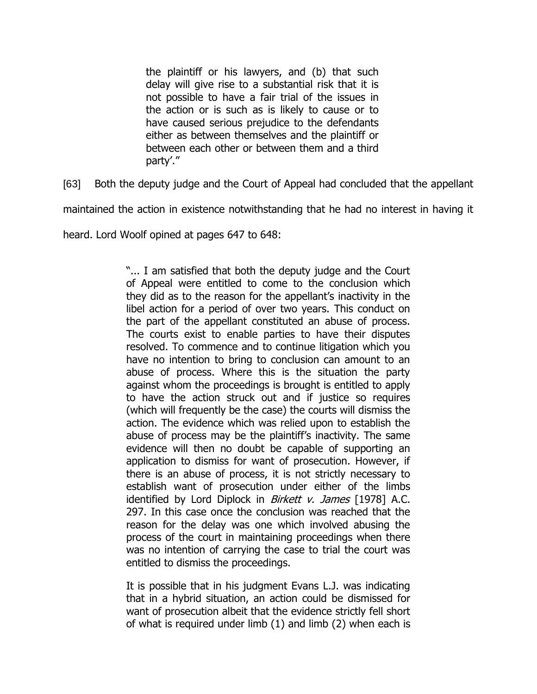the plaintiff or his lawyers, and (b) that such delay will give rise to a substantial risk that it is not possible to have a fair trial of the issues in the action or is such as is likely to cause or to have caused serious prejudice to the defendants either as between themselves and the plaintiff or between each other or between them and a third party'."

[63] Both the deputy judge and the Court of Appeal had concluded that the appellant

maintained the action in existence notwithstanding that he had no interest in having it

heard. Lord Woolf opined at pages 647 to 648:

"... I am satisfied that both the deputy judge and the Court of Appeal were entitled to come to the conclusion which they did as to the reason for the appellant's inactivity in the libel action for a period of over two years. This conduct on the part of the appellant constituted an abuse of process. The courts exist to enable parties to have their disputes resolved. To commence and to continue litigation which you have no intention to bring to conclusion can amount to an abuse of process. Where this is the situation the party against whom the proceedings is brought is entitled to apply to have the action struck out and if justice so requires (which will frequently be the case) the courts will dismiss the action. The evidence which was relied upon to establish the abuse of process may be the plaintiff's inactivity. The same evidence will then no doubt be capable of supporting an application to dismiss for want of prosecution. However, if there is an abuse of process, it is not strictly necessary to establish want of prosecution under either of the limbs identified by Lord Diplock in Birkett v. James [1978] A.C. 297. In this case once the conclusion was reached that the reason for the delay was one which involved abusing the process of the court in maintaining proceedings when there was no intention of carrying the case to trial the court was entitled to dismiss the proceedings.

It is possible that in his judgment Evans L.J. was indicating that in a hybrid situation, an action could be dismissed for want of prosecution albeit that the evidence strictly fell short of what is required under limb (1) and limb (2) when each is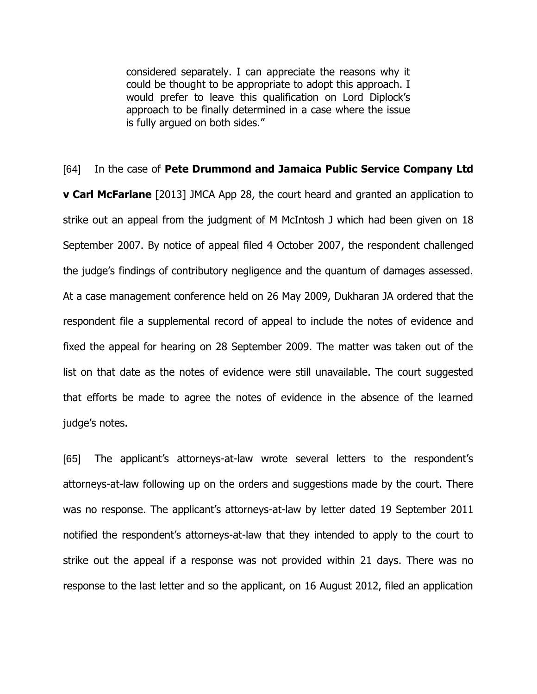considered separately. I can appreciate the reasons why it could be thought to be appropriate to adopt this approach. I would prefer to leave this qualification on Lord Diplock's approach to be finally determined in a case where the issue is fully argued on both sides."

# [64] In the case of **Pete Drummond and Jamaica Public Service Company Ltd**

**v Carl McFarlane** [2013] JMCA App 28, the court heard and granted an application to strike out an appeal from the judgment of M McIntosh J which had been given on 18 September 2007. By notice of appeal filed 4 October 2007, the respondent challenged the judge's findings of contributory negligence and the quantum of damages assessed. At a case management conference held on 26 May 2009, Dukharan JA ordered that the respondent file a supplemental record of appeal to include the notes of evidence and fixed the appeal for hearing on 28 September 2009. The matter was taken out of the list on that date as the notes of evidence were still unavailable. The court suggested that efforts be made to agree the notes of evidence in the absence of the learned judge's notes.

[65] The applicant's attorneys-at-law wrote several letters to the respondent's attorneys-at-law following up on the orders and suggestions made by the court. There was no response. The applicant's attorneys-at-law by letter dated 19 September 2011 notified the respondent's attorneys-at-law that they intended to apply to the court to strike out the appeal if a response was not provided within 21 days. There was no response to the last letter and so the applicant, on 16 August 2012, filed an application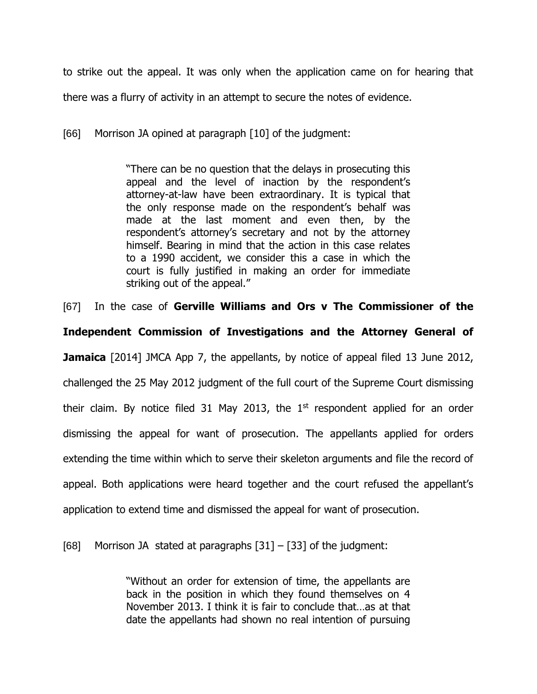to strike out the appeal. It was only when the application came on for hearing that

there was a flurry of activity in an attempt to secure the notes of evidence.

[66] Morrison JA opined at paragraph [10] of the judgment:

"There can be no question that the delays in prosecuting this appeal and the level of inaction by the respondent's attorney-at-law have been extraordinary. It is typical that the only response made on the respondent's behalf was made at the last moment and even then, by the respondent's attorney's secretary and not by the attorney himself. Bearing in mind that the action in this case relates to a 1990 accident, we consider this a case in which the court is fully justified in making an order for immediate striking out of the appeal."

[67] In the case of **Gerville Williams and Ors v The Commissioner of the Independent Commission of Investigations and the Attorney General of Jamaica** [2014] JMCA App 7, the appellants, by notice of appeal filed 13 June 2012, challenged the 25 May 2012 judgment of the full court of the Supreme Court dismissing their claim. By notice filed 31 May 2013, the  $1<sup>st</sup>$  respondent applied for an order dismissing the appeal for want of prosecution. The appellants applied for orders extending the time within which to serve their skeleton arguments and file the record of appeal. Both applications were heard together and the court refused the appellant's application to extend time and dismissed the appeal for want of prosecution.

[68] Morrison JA stated at paragraphs  $[31] - [33]$  of the judgment:

"Without an order for extension of time, the appellants are back in the position in which they found themselves on 4 November 2013. I think it is fair to conclude that…as at that date the appellants had shown no real intention of pursuing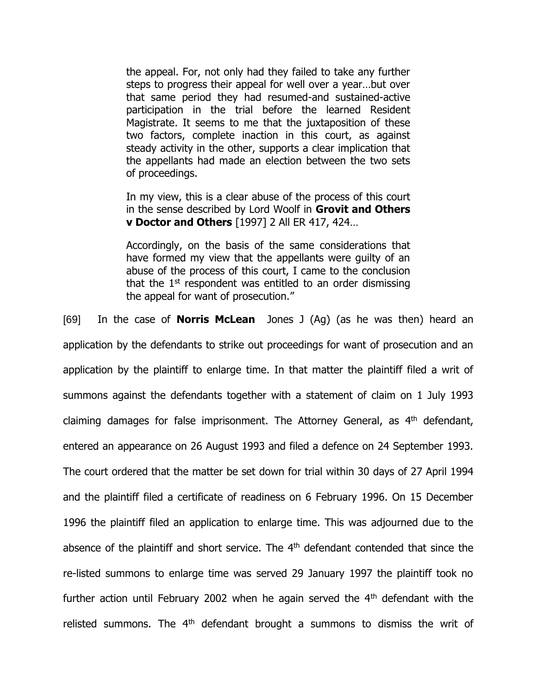the appeal. For, not only had they failed to take any further steps to progress their appeal for well over a year…but over that same period they had resumed-and sustained-active participation in the trial before the learned Resident Magistrate. It seems to me that the juxtaposition of these two factors, complete inaction in this court, as against steady activity in the other, supports a clear implication that the appellants had made an election between the two sets of proceedings.

In my view, this is a clear abuse of the process of this court in the sense described by Lord Woolf in **Grovit and Others v Doctor and Others** [1997] 2 All ER 417, 424…

Accordingly, on the basis of the same considerations that have formed my view that the appellants were guilty of an abuse of the process of this court, I came to the conclusion that the  $1<sup>st</sup>$  respondent was entitled to an order dismissing the appeal for want of prosecution."

[69] In the case of **Norris McLean** Jones J (Ag) (as he was then) heard an application by the defendants to strike out proceedings for want of prosecution and an application by the plaintiff to enlarge time. In that matter the plaintiff filed a writ of summons against the defendants together with a statement of claim on 1 July 1993 claiming damages for false imprisonment. The Attorney General, as 4th defendant, entered an appearance on 26 August 1993 and filed a defence on 24 September 1993. The court ordered that the matter be set down for trial within 30 days of 27 April 1994 and the plaintiff filed a certificate of readiness on 6 February 1996. On 15 December 1996 the plaintiff filed an application to enlarge time. This was adjourned due to the absence of the plaintiff and short service. The 4<sup>th</sup> defendant contended that since the re-listed summons to enlarge time was served 29 January 1997 the plaintiff took no further action until February 2002 when he again served the  $4<sup>th</sup>$  defendant with the relisted summons. The 4<sup>th</sup> defendant brought a summons to dismiss the writ of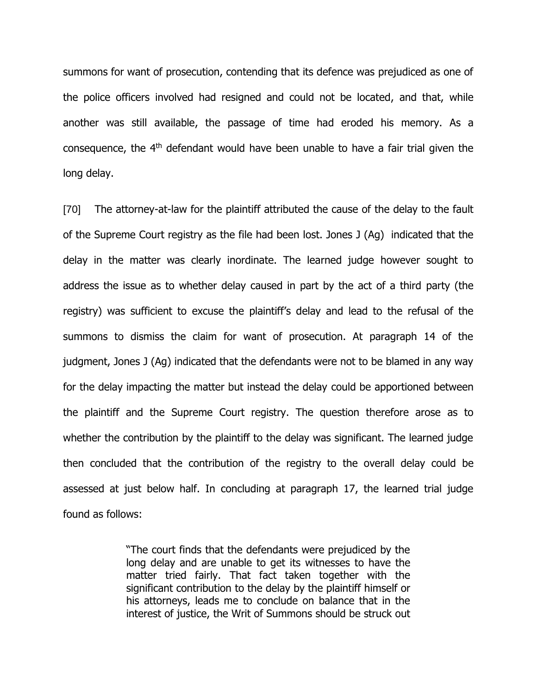summons for want of prosecution, contending that its defence was prejudiced as one of the police officers involved had resigned and could not be located, and that, while another was still available, the passage of time had eroded his memory. As a consequence, the 4th defendant would have been unable to have a fair trial given the long delay.

[70] The attorney-at-law for the plaintiff attributed the cause of the delay to the fault of the Supreme Court registry as the file had been lost. Jones J (Ag) indicated that the delay in the matter was clearly inordinate. The learned judge however sought to address the issue as to whether delay caused in part by the act of a third party (the registry) was sufficient to excuse the plaintiff's delay and lead to the refusal of the summons to dismiss the claim for want of prosecution. At paragraph 14 of the judgment, Jones J (Ag) indicated that the defendants were not to be blamed in any way for the delay impacting the matter but instead the delay could be apportioned between the plaintiff and the Supreme Court registry. The question therefore arose as to whether the contribution by the plaintiff to the delay was significant. The learned judge then concluded that the contribution of the registry to the overall delay could be assessed at just below half. In concluding at paragraph 17, the learned trial judge found as follows:

> "The court finds that the defendants were prejudiced by the long delay and are unable to get its witnesses to have the matter tried fairly. That fact taken together with the significant contribution to the delay by the plaintiff himself or his attorneys, leads me to conclude on balance that in the interest of justice, the Writ of Summons should be struck out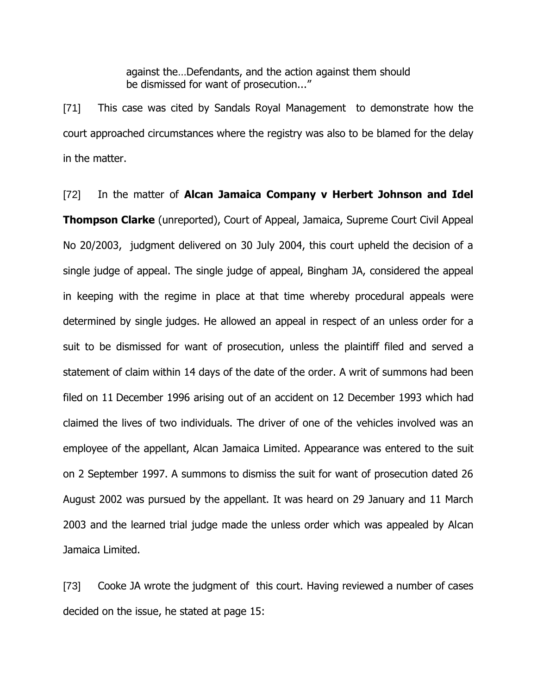against the…Defendants, and the action against them should be dismissed for want of prosecution..."

[71] This case was cited by Sandals Royal Management to demonstrate how the court approached circumstances where the registry was also to be blamed for the delay in the matter.

[72] In the matter of **Alcan Jamaica Company v Herbert Johnson and Idel Thompson Clarke** (unreported), Court of Appeal, Jamaica, Supreme Court Civil Appeal No 20/2003, judgment delivered on 30 July 2004, this court upheld the decision of a single judge of appeal. The single judge of appeal, Bingham JA, considered the appeal in keeping with the regime in place at that time whereby procedural appeals were determined by single judges. He allowed an appeal in respect of an unless order for a suit to be dismissed for want of prosecution, unless the plaintiff filed and served a statement of claim within 14 days of the date of the order. A writ of summons had been filed on 11 December 1996 arising out of an accident on 12 December 1993 which had claimed the lives of two individuals. The driver of one of the vehicles involved was an employee of the appellant, Alcan Jamaica Limited. Appearance was entered to the suit on 2 September 1997. A summons to dismiss the suit for want of prosecution dated 26 August 2002 was pursued by the appellant. It was heard on 29 January and 11 March 2003 and the learned trial judge made the unless order which was appealed by Alcan Jamaica Limited.

[73] Cooke JA wrote the judgment of this court. Having reviewed a number of cases decided on the issue, he stated at page 15: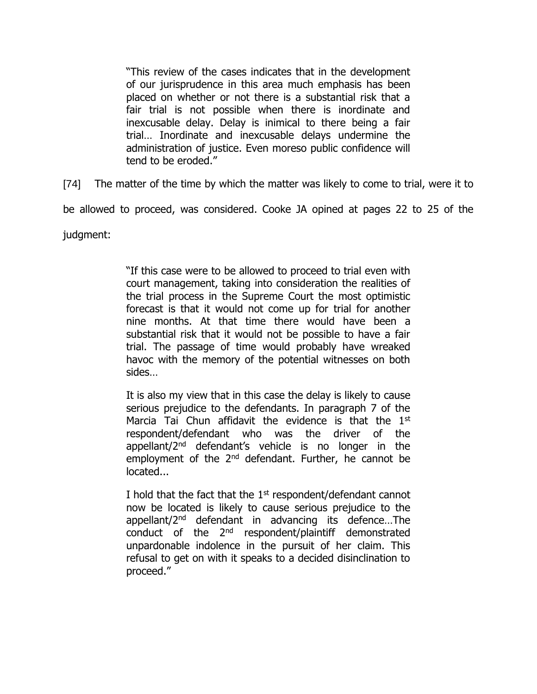"This review of the cases indicates that in the development of our jurisprudence in this area much emphasis has been placed on whether or not there is a substantial risk that a fair trial is not possible when there is inordinate and inexcusable delay. Delay is inimical to there being a fair trial… Inordinate and inexcusable delays undermine the administration of justice. Even moreso public confidence will tend to be eroded."

[74] The matter of the time by which the matter was likely to come to trial, were it to

be allowed to proceed, was considered. Cooke JA opined at pages 22 to 25 of the

judgment:

"If this case were to be allowed to proceed to trial even with court management, taking into consideration the realities of the trial process in the Supreme Court the most optimistic forecast is that it would not come up for trial for another nine months. At that time there would have been a substantial risk that it would not be possible to have a fair trial. The passage of time would probably have wreaked havoc with the memory of the potential witnesses on both sides…

It is also my view that in this case the delay is likely to cause serious prejudice to the defendants. In paragraph 7 of the Marcia Tai Chun affidavit the evidence is that the  $1<sup>st</sup>$ respondent/defendant who was the driver of the appellant/2nd defendant's vehicle is no longer in the employment of the  $2<sup>nd</sup>$  defendant. Further, he cannot be located...

I hold that the fact that the 1<sup>st</sup> respondent/defendant cannot now be located is likely to cause serious prejudice to the appellant/2nd defendant in advancing its defence…The conduct of the  $2<sup>nd</sup>$  respondent/plaintiff demonstrated unpardonable indolence in the pursuit of her claim. This refusal to get on with it speaks to a decided disinclination to proceed."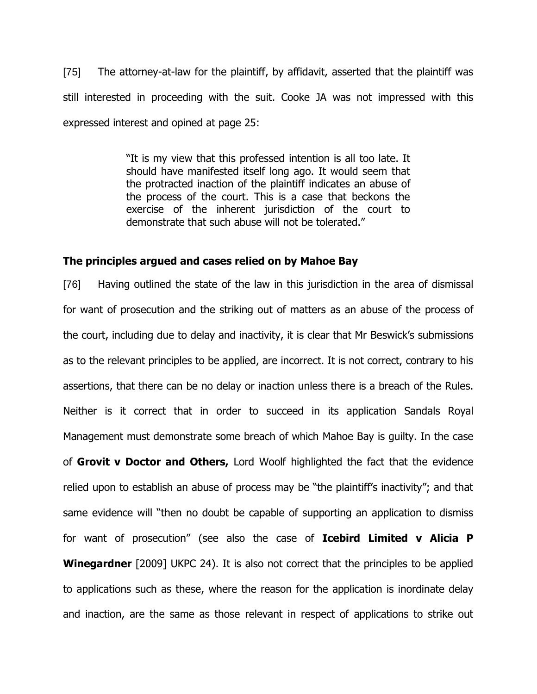[75] The attorney-at-law for the plaintiff, by affidavit, asserted that the plaintiff was still interested in proceeding with the suit. Cooke JA was not impressed with this expressed interest and opined at page 25:

> "It is my view that this professed intention is all too late. It should have manifested itself long ago. It would seem that the protracted inaction of the plaintiff indicates an abuse of the process of the court. This is a case that beckons the exercise of the inherent jurisdiction of the court to demonstrate that such abuse will not be tolerated."

## **The principles argued and cases relied on by Mahoe Bay**

[76] Having outlined the state of the law in this jurisdiction in the area of dismissal for want of prosecution and the striking out of matters as an abuse of the process of the court, including due to delay and inactivity, it is clear that Mr Beswick's submissions as to the relevant principles to be applied, are incorrect. It is not correct, contrary to his assertions, that there can be no delay or inaction unless there is a breach of the Rules. Neither is it correct that in order to succeed in its application Sandals Royal Management must demonstrate some breach of which Mahoe Bay is guilty. In the case of **Grovit v Doctor and Others,** Lord Woolf highlighted the fact that the evidence relied upon to establish an abuse of process may be "the plaintiff's inactivity"; and that same evidence will "then no doubt be capable of supporting an application to dismiss for want of prosecution" (see also the case of **Icebird Limited v Alicia P Winegardner** [2009] UKPC 24). It is also not correct that the principles to be applied to applications such as these, where the reason for the application is inordinate delay and inaction, are the same as those relevant in respect of applications to strike out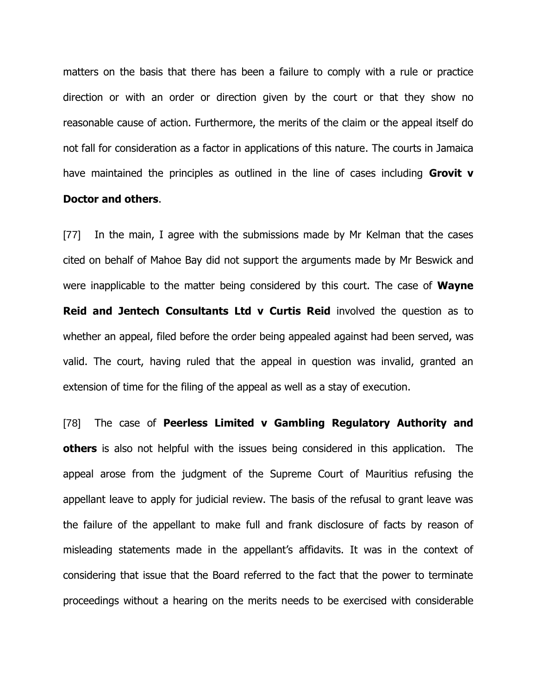matters on the basis that there has been a failure to comply with a rule or practice direction or with an order or direction given by the court or that they show no reasonable cause of action. Furthermore, the merits of the claim or the appeal itself do not fall for consideration as a factor in applications of this nature. The courts in Jamaica have maintained the principles as outlined in the line of cases including **Grovit v** 

#### **Doctor and others**.

[77] In the main, I agree with the submissions made by Mr Kelman that the cases cited on behalf of Mahoe Bay did not support the arguments made by Mr Beswick and were inapplicable to the matter being considered by this court. The case of **Wayne Reid and Jentech Consultants Ltd v Curtis Reid** involved the question as to whether an appeal, filed before the order being appealed against had been served, was valid. The court, having ruled that the appeal in question was invalid, granted an extension of time for the filing of the appeal as well as a stay of execution.

[78] The case of **Peerless Limited v Gambling Regulatory Authority and others** is also not helpful with the issues being considered in this application. The appeal arose from the judgment of the Supreme Court of Mauritius refusing the appellant leave to apply for judicial review. The basis of the refusal to grant leave was the failure of the appellant to make full and frank disclosure of facts by reason of misleading statements made in the appellant's affidavits. It was in the context of considering that issue that the Board referred to the fact that the power to terminate proceedings without a hearing on the merits needs to be exercised with considerable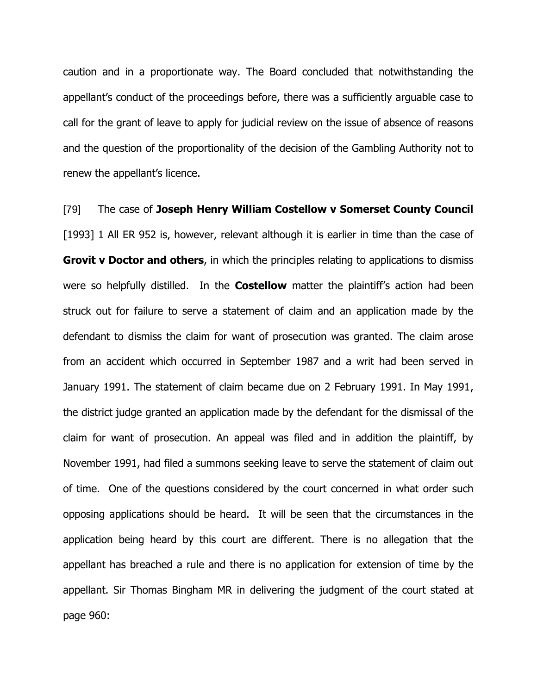caution and in a proportionate way. The Board concluded that notwithstanding the appellant's conduct of the proceedings before, there was a sufficiently arguable case to call for the grant of leave to apply for judicial review on the issue of absence of reasons and the question of the proportionality of the decision of the Gambling Authority not to renew the appellant's licence.

[79] The case of **Joseph Henry William Costellow v Somerset County Council** [1993] 1 All ER 952 is, however, relevant although it is earlier in time than the case of **Grovit v Doctor and others**, in which the principles relating to applications to dismiss were so helpfully distilled. In the **Costellow** matter the plaintiff's action had been struck out for failure to serve a statement of claim and an application made by the defendant to dismiss the claim for want of prosecution was granted. The claim arose from an accident which occurred in September 1987 and a writ had been served in January 1991. The statement of claim became due on 2 February 1991. In May 1991, the district judge granted an application made by the defendant for the dismissal of the claim for want of prosecution. An appeal was filed and in addition the plaintiff, by November 1991, had filed a summons seeking leave to serve the statement of claim out of time. One of the questions considered by the court concerned in what order such opposing applications should be heard. It will be seen that the circumstances in the application being heard by this court are different. There is no allegation that the appellant has breached a rule and there is no application for extension of time by the appellant. Sir Thomas Bingham MR in delivering the judgment of the court stated at page 960: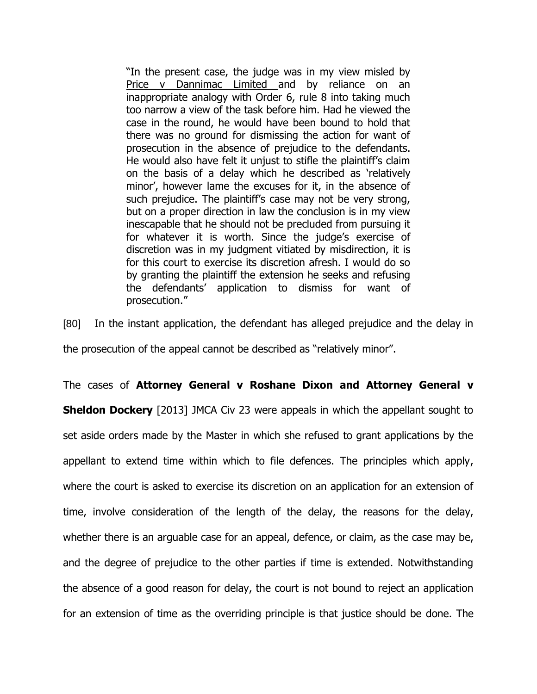"In the present case, the judge was in my view misled by Price v Dannimac Limited and by reliance on an inappropriate analogy with Order 6, rule 8 into taking much too narrow a view of the task before him. Had he viewed the case in the round, he would have been bound to hold that there was no ground for dismissing the action for want of prosecution in the absence of prejudice to the defendants. He would also have felt it unjust to stifle the plaintiff's claim on the basis of a delay which he described as 'relatively minor', however lame the excuses for it, in the absence of such prejudice. The plaintiff's case may not be very strong, but on a proper direction in law the conclusion is in my view inescapable that he should not be precluded from pursuing it for whatever it is worth. Since the judge's exercise of discretion was in my judgment vitiated by misdirection, it is for this court to exercise its discretion afresh. I would do so by granting the plaintiff the extension he seeks and refusing the defendants' application to dismiss for want of prosecution."

[80] In the instant application, the defendant has alleged prejudice and the delay in the prosecution of the appeal cannot be described as "relatively minor".

The cases of **Attorney General v Roshane Dixon and Attorney General v Sheldon Dockery** [2013] JMCA Civ 23 were appeals in which the appellant sought to set aside orders made by the Master in which she refused to grant applications by the appellant to extend time within which to file defences. The principles which apply, where the court is asked to exercise its discretion on an application for an extension of time, involve consideration of the length of the delay, the reasons for the delay, whether there is an arguable case for an appeal, defence, or claim, as the case may be, and the degree of prejudice to the other parties if time is extended. Notwithstanding the absence of a good reason for delay, the court is not bound to reject an application for an extension of time as the overriding principle is that justice should be done. The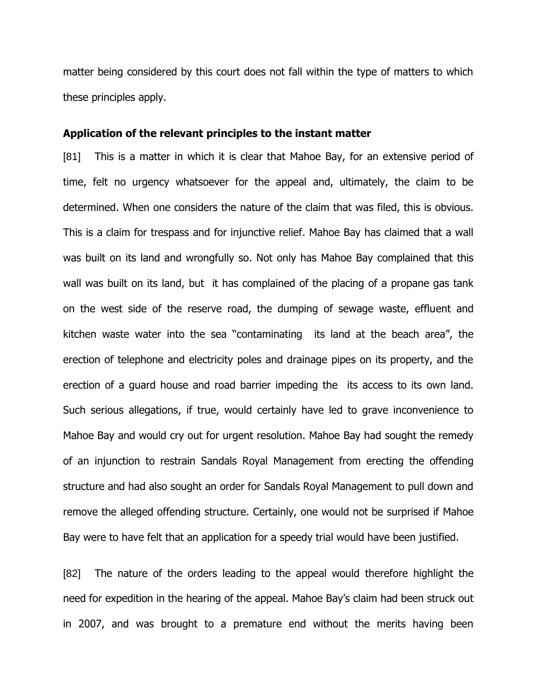matter being considered by this court does not fall within the type of matters to which these principles apply.

#### **Application of the relevant principles to the instant matter**

[81] This is a matter in which it is clear that Mahoe Bay, for an extensive period of time, felt no urgency whatsoever for the appeal and, ultimately, the claim to be determined. When one considers the nature of the claim that was filed, this is obvious. This is a claim for trespass and for injunctive relief. Mahoe Bay has claimed that a wall was built on its land and wrongfully so. Not only has Mahoe Bay complained that this wall was built on its land, but it has complained of the placing of a propane gas tank on the west side of the reserve road, the dumping of sewage waste, effluent and kitchen waste water into the sea "contaminating its land at the beach area", the erection of telephone and electricity poles and drainage pipes on its property, and the erection of a guard house and road barrier impeding the its access to its own land. Such serious allegations, if true, would certainly have led to grave inconvenience to Mahoe Bay and would cry out for urgent resolution. Mahoe Bay had sought the remedy of an injunction to restrain Sandals Royal Management from erecting the offending structure and had also sought an order for Sandals Royal Management to pull down and remove the alleged offending structure. Certainly, one would not be surprised if Mahoe Bay were to have felt that an application for a speedy trial would have been justified.

[82] The nature of the orders leading to the appeal would therefore highlight the need for expedition in the hearing of the appeal. Mahoe Bay's claim had been struck out in 2007, and was brought to a premature end without the merits having been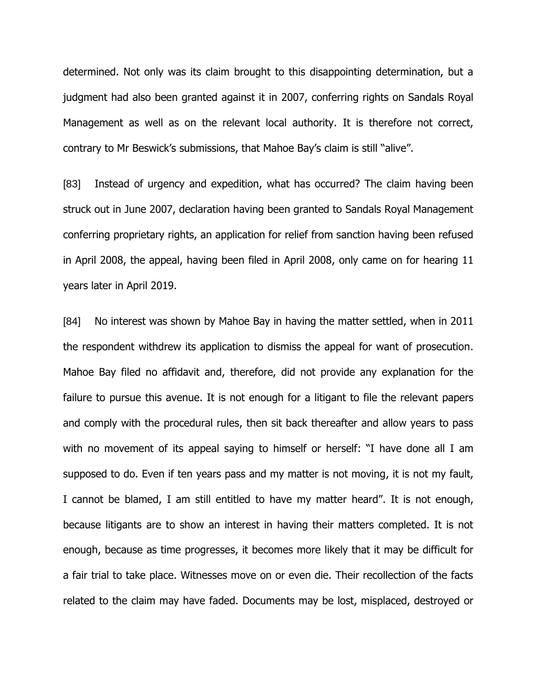determined. Not only was its claim brought to this disappointing determination, but a judgment had also been granted against it in 2007, conferring rights on Sandals Royal Management as well as on the relevant local authority. It is therefore not correct, contrary to Mr Beswick's submissions, that Mahoe Bay's claim is still "alive".

[83] Instead of urgency and expedition, what has occurred? The claim having been struck out in June 2007, declaration having been granted to Sandals Royal Management conferring proprietary rights, an application for relief from sanction having been refused in April 2008, the appeal, having been filed in April 2008, only came on for hearing 11 years later in April 2019.

[84] No interest was shown by Mahoe Bay in having the matter settled, when in 2011 the respondent withdrew its application to dismiss the appeal for want of prosecution. Mahoe Bay filed no affidavit and, therefore, did not provide any explanation for the failure to pursue this avenue. It is not enough for a litigant to file the relevant papers and comply with the procedural rules, then sit back thereafter and allow years to pass with no movement of its appeal saying to himself or herself: "I have done all I am supposed to do. Even if ten years pass and my matter is not moving, it is not my fault, I cannot be blamed, I am still entitled to have my matter heard". It is not enough, because litigants are to show an interest in having their matters completed. It is not enough, because as time progresses, it becomes more likely that it may be difficult for a fair trial to take place. Witnesses move on or even die. Their recollection of the facts related to the claim may have faded. Documents may be lost, misplaced, destroyed or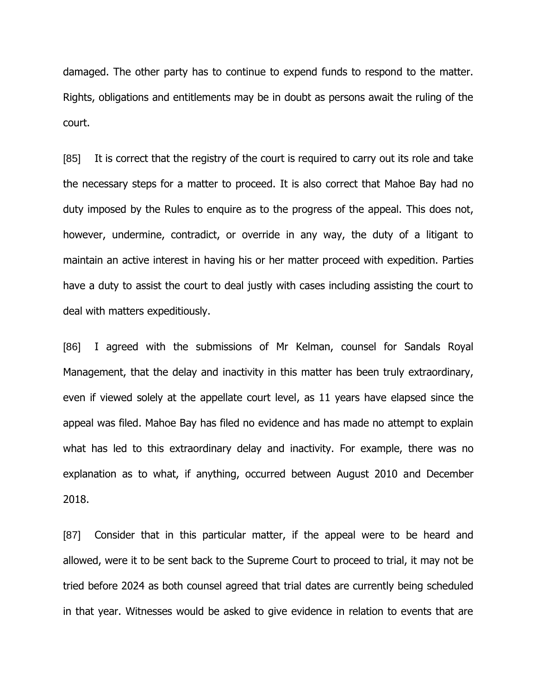damaged. The other party has to continue to expend funds to respond to the matter. Rights, obligations and entitlements may be in doubt as persons await the ruling of the court.

[85] It is correct that the registry of the court is required to carry out its role and take the necessary steps for a matter to proceed. It is also correct that Mahoe Bay had no duty imposed by the Rules to enquire as to the progress of the appeal. This does not, however, undermine, contradict, or override in any way, the duty of a litigant to maintain an active interest in having his or her matter proceed with expedition. Parties have a duty to assist the court to deal justly with cases including assisting the court to deal with matters expeditiously.

[86] I agreed with the submissions of Mr Kelman, counsel for Sandals Royal Management, that the delay and inactivity in this matter has been truly extraordinary, even if viewed solely at the appellate court level, as 11 years have elapsed since the appeal was filed. Mahoe Bay has filed no evidence and has made no attempt to explain what has led to this extraordinary delay and inactivity. For example, there was no explanation as to what, if anything, occurred between August 2010 and December 2018.

[87] Consider that in this particular matter, if the appeal were to be heard and allowed, were it to be sent back to the Supreme Court to proceed to trial, it may not be tried before 2024 as both counsel agreed that trial dates are currently being scheduled in that year. Witnesses would be asked to give evidence in relation to events that are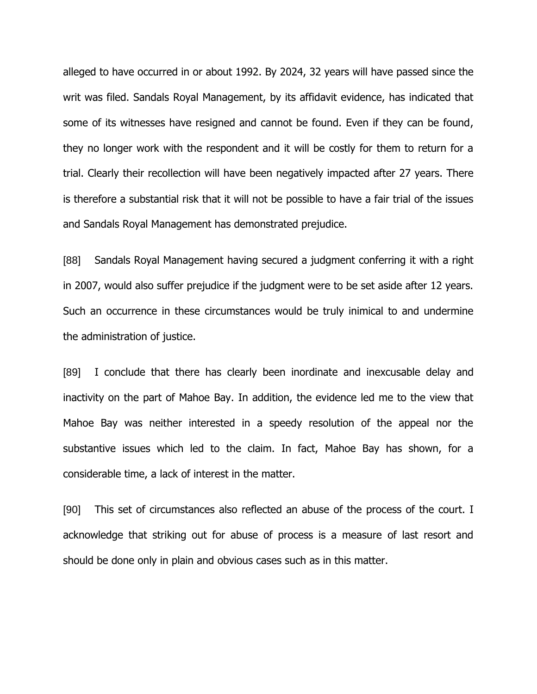alleged to have occurred in or about 1992. By 2024, 32 years will have passed since the writ was filed. Sandals Royal Management, by its affidavit evidence, has indicated that some of its witnesses have resigned and cannot be found. Even if they can be found, they no longer work with the respondent and it will be costly for them to return for a trial. Clearly their recollection will have been negatively impacted after 27 years. There is therefore a substantial risk that it will not be possible to have a fair trial of the issues and Sandals Royal Management has demonstrated prejudice.

[88] Sandals Royal Management having secured a judgment conferring it with a right in 2007, would also suffer prejudice if the judgment were to be set aside after 12 years. Such an occurrence in these circumstances would be truly inimical to and undermine the administration of justice.

[89] I conclude that there has clearly been inordinate and inexcusable delay and inactivity on the part of Mahoe Bay. In addition, the evidence led me to the view that Mahoe Bay was neither interested in a speedy resolution of the appeal nor the substantive issues which led to the claim. In fact, Mahoe Bay has shown, for a considerable time, a lack of interest in the matter.

[90] This set of circumstances also reflected an abuse of the process of the court. I acknowledge that striking out for abuse of process is a measure of last resort and should be done only in plain and obvious cases such as in this matter.